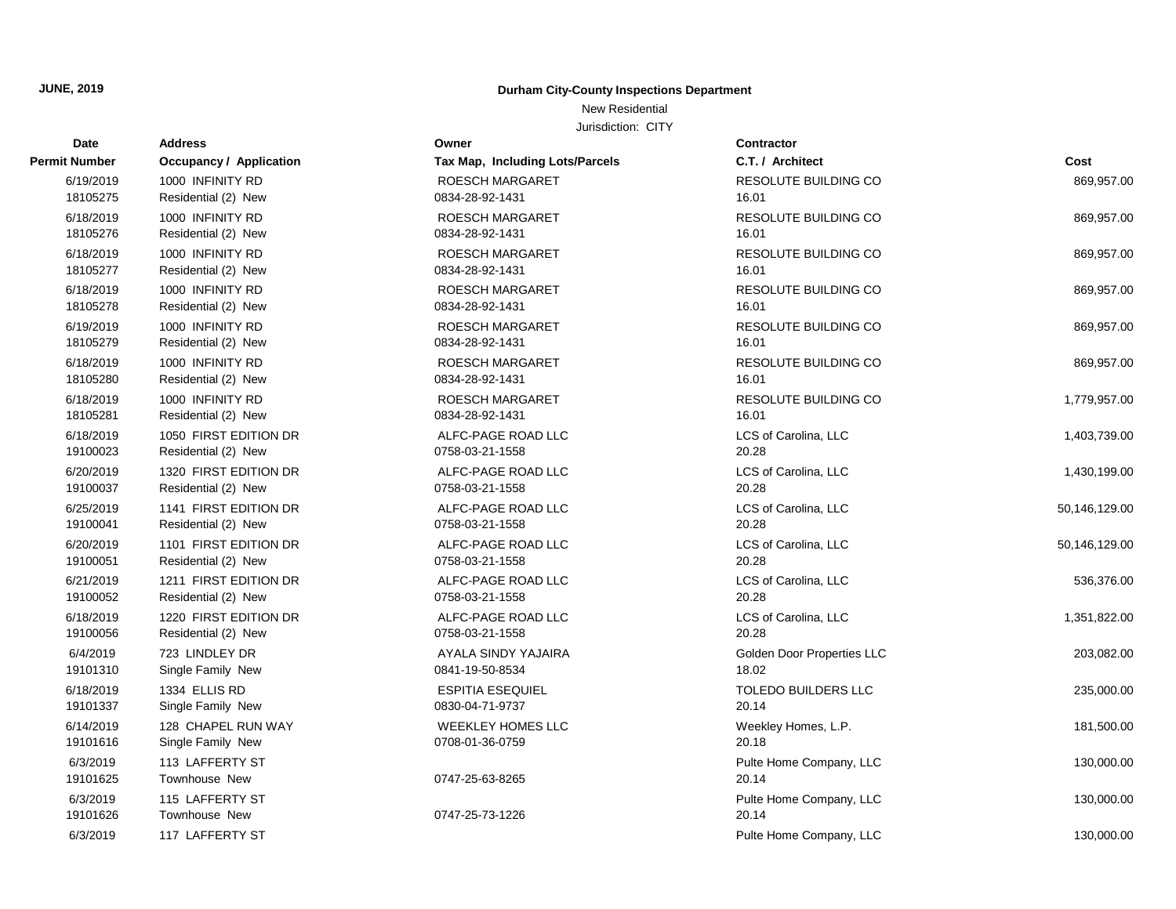### **JUNE, 2019 Durham City-County Inspections Department**

New Residential

| Date                  | <b>Address</b>                               | Owner                                  | <b>Contractor</b>             |               |
|-----------------------|----------------------------------------------|----------------------------------------|-------------------------------|---------------|
| <b>Permit Number</b>  | Occupancy / Application                      | <b>Tax Map, Including Lots/Parcels</b> | C.T. / Architect              | Cost          |
| 6/19/2019             | 1000 INFINITY RD                             | ROESCH MARGARET                        | <b>RESOLUTE BUILDING CO</b>   | 869,957.00    |
| 18105275              | Residential (2) New                          | 0834-28-92-1431                        | 16.01                         |               |
| 6/18/2019             | 1000 INFINITY RD                             | <b>ROESCH MARGARET</b>                 | <b>RESOLUTE BUILDING CO</b>   | 869,957.00    |
| 18105276              | Residential (2) New                          | 0834-28-92-1431                        | 16.01                         |               |
| 6/18/2019             | 1000 INFINITY RD                             | ROESCH MARGARET                        | RESOLUTE BUILDING CO          | 869,957.00    |
| 18105277              | Residential (2) New                          | 0834-28-92-1431                        | 16.01                         |               |
| 6/18/2019             | 1000 INFINITY RD                             | <b>ROESCH MARGARET</b>                 | <b>RESOLUTE BUILDING CO</b>   | 869,957.00    |
| 18105278              | Residential (2) New                          | 0834-28-92-1431                        | 16.01                         |               |
| 6/19/2019             | 1000 INFINITY RD                             | ROESCH MARGARET                        | RESOLUTE BUILDING CO          | 869,957.00    |
| 18105279              | Residential (2) New                          | 0834-28-92-1431                        | 16.01                         |               |
| 6/18/2019             | 1000 INFINITY RD                             | ROESCH MARGARET                        | <b>RESOLUTE BUILDING CO</b>   | 869,957.00    |
| 18105280              | Residential (2) New                          | 0834-28-92-1431                        | 16.01                         |               |
| 6/18/2019             | 1000 INFINITY RD                             | ROESCH MARGARET                        | <b>RESOLUTE BUILDING CO</b>   | 1,779,957.00  |
| 18105281              | Residential (2) New                          | 0834-28-92-1431                        | 16.01                         |               |
| 6/18/2019             | 1050 FIRST EDITION DR                        | ALFC-PAGE ROAD LLC                     | LCS of Carolina, LLC          | 1,403,739.00  |
| 19100023              | Residential (2) New                          | 0758-03-21-1558                        | 20.28                         |               |
| 6/20/2019             | 1320 FIRST EDITION DR                        | ALFC-PAGE ROAD LLC                     | LCS of Carolina, LLC          | 1,430,199.00  |
| 19100037              | Residential (2) New                          | 0758-03-21-1558                        | 20.28                         |               |
| 6/25/2019             | 1141 FIRST EDITION DR                        | ALFC-PAGE ROAD LLC                     | LCS of Carolina, LLC          | 50,146,129.00 |
| 19100041              | Residential (2) New                          | 0758-03-21-1558                        | 20.28                         |               |
| 6/20/2019<br>19100051 | 1101 FIRST EDITION DR<br>Residential (2) New | ALFC-PAGE ROAD LLC<br>0758-03-21-1558  | LCS of Carolina, LLC<br>20.28 | 50,146,129.00 |
|                       |                                              |                                        |                               |               |
| 6/21/2019<br>19100052 | 1211 FIRST EDITION DR<br>Residential (2) New | ALFC-PAGE ROAD LLC<br>0758-03-21-1558  | LCS of Carolina, LLC<br>20.28 | 536,376.00    |
|                       |                                              |                                        |                               |               |
| 6/18/2019<br>19100056 | 1220 FIRST EDITION DR<br>Residential (2) New | ALFC-PAGE ROAD LLC<br>0758-03-21-1558  | LCS of Carolina, LLC<br>20.28 | 1,351,822.00  |
| 6/4/2019              | 723 LINDLEY DR                               | AYALA SINDY YAJAIRA                    | Golden Door Properties LLC    | 203,082.00    |
| 19101310              | Single Family New                            | 0841-19-50-8534                        | 18.02                         |               |
| 6/18/2019             | 1334 ELLIS RD                                | <b>ESPITIA ESEQUIEL</b>                | TOLEDO BUILDERS LLC           | 235,000.00    |
| 19101337              | Single Family New                            | 0830-04-71-9737                        | 20.14                         |               |
| 6/14/2019             | 128 CHAPEL RUN WAY                           | <b>WEEKLEY HOMES LLC</b>               | Weekley Homes, L.P.           | 181.500.00    |
| 19101616              | Single Family New                            | 0708-01-36-0759                        | 20.18                         |               |
| 6/3/2019              | 113 LAFFERTY ST                              |                                        | Pulte Home Company, LLC       | 130,000.00    |
| 19101625              | Townhouse New                                | 0747-25-63-8265                        | 20.14                         |               |
| 6/3/2019              | 115 LAFFERTY ST                              |                                        | Pulte Home Company, LLC       | 130,000.00    |
| 19101626              | <b>Townhouse New</b>                         | 0747-25-73-1226                        | 20.14                         |               |
| 6/3/2019              | 117 LAFFERTY ST                              |                                        | Pulte Home Company, LLC       | 130,000.00    |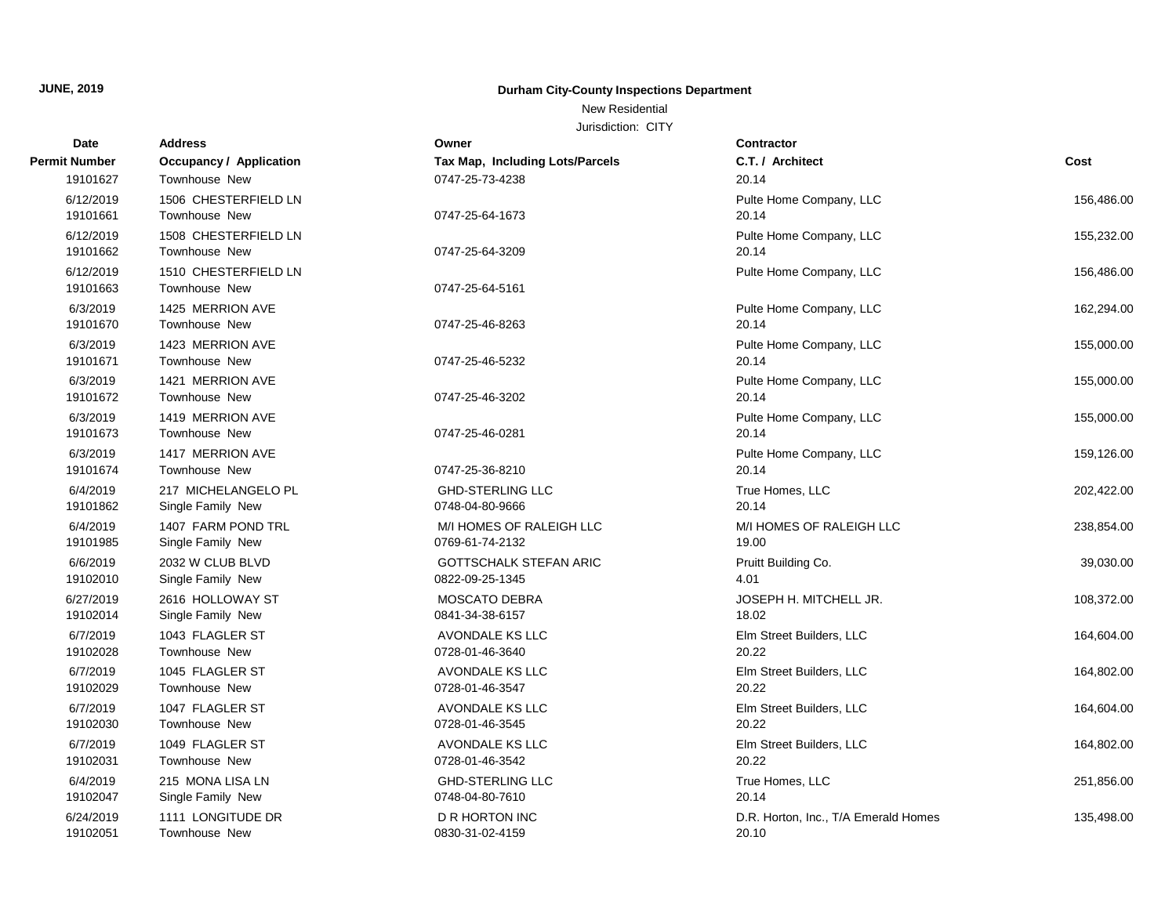New Residential

| <b>Date</b>   | <b>Address</b>                 | Owner                           | Contractor                           |            |
|---------------|--------------------------------|---------------------------------|--------------------------------------|------------|
| Permit Number | <b>Occupancy / Application</b> | Tax Map, Including Lots/Parcels | C.T. / Architect                     | Cost       |
| 19101627      | Townhouse New                  | 0747-25-73-4238                 | 20.14                                |            |
| 6/12/2019     | 1506 CHESTERFIELD LN           |                                 | Pulte Home Company, LLC              | 156,486.00 |
| 19101661      | <b>Townhouse New</b>           | 0747-25-64-1673                 | 20.14                                |            |
| 6/12/2019     | 1508 CHESTERFIELD LN           |                                 | Pulte Home Company, LLC              | 155,232.00 |
| 19101662      | <b>Townhouse New</b>           | 0747-25-64-3209                 | 20.14                                |            |
| 6/12/2019     | 1510 CHESTERFIELD LN           |                                 | Pulte Home Company, LLC              | 156,486.00 |
| 19101663      | Townhouse New                  | 0747-25-64-5161                 |                                      |            |
| 6/3/2019      | 1425 MERRION AVE               |                                 | Pulte Home Company, LLC              | 162,294.00 |
| 19101670      | <b>Townhouse New</b>           | 0747-25-46-8263                 | 20.14                                |            |
| 6/3/2019      | 1423 MERRION AVE               |                                 | Pulte Home Company, LLC              | 155,000.00 |
| 19101671      | Townhouse New                  | 0747-25-46-5232                 | 20.14                                |            |
| 6/3/2019      | 1421 MERRION AVE               |                                 | Pulte Home Company, LLC              | 155,000.00 |
| 19101672      | <b>Townhouse New</b>           | 0747-25-46-3202                 | 20.14                                |            |
| 6/3/2019      | 1419 MERRION AVE               |                                 | Pulte Home Company, LLC              | 155,000.00 |
| 19101673      | <b>Townhouse New</b>           | 0747-25-46-0281                 | 20.14                                |            |
| 6/3/2019      | 1417 MERRION AVE               |                                 | Pulte Home Company, LLC              | 159,126.00 |
| 19101674      | Townhouse New                  | 0747-25-36-8210                 | 20.14                                |            |
| 6/4/2019      | 217 MICHELANGELO PL            | <b>GHD-STERLING LLC</b>         | True Homes, LLC                      | 202,422.00 |
| 19101862      | Single Family New              | 0748-04-80-9666                 | 20.14                                |            |
| 6/4/2019      | 1407 FARM POND TRL             | M/I HOMES OF RALEIGH LLC        | M/I HOMES OF RALEIGH LLC             | 238,854.00 |
| 19101985      | Single Family New              | 0769-61-74-2132                 | 19.00                                |            |
| 6/6/2019      | 2032 W CLUB BLVD               | <b>GOTTSCHALK STEFAN ARIC</b>   | Pruitt Building Co.                  | 39,030.00  |
| 19102010      | Single Family New              | 0822-09-25-1345                 | 4.01                                 |            |
| 6/27/2019     | 2616 HOLLOWAY ST               | <b>MOSCATO DEBRA</b>            | JOSEPH H. MITCHELL JR.               | 108,372.00 |
| 19102014      | Single Family New              | 0841-34-38-6157                 | 18.02                                |            |
| 6/7/2019      | 1043 FLAGLER ST                | AVONDALE KS LLC                 | Elm Street Builders, LLC             | 164,604.00 |
| 19102028      | Townhouse New                  | 0728-01-46-3640                 | 20.22                                |            |
| 6/7/2019      | 1045 FLAGLER ST                | AVONDALE KS LLC                 | Elm Street Builders, LLC             | 164,802.00 |
| 19102029      | Townhouse New                  | 0728-01-46-3547                 | 20.22                                |            |
| 6/7/2019      | 1047 FLAGLER ST                | AVONDALE KS LLC                 | Elm Street Builders, LLC             | 164,604.00 |
| 19102030      | <b>Townhouse New</b>           | 0728-01-46-3545                 | 20.22                                |            |
| 6/7/2019      | 1049 FLAGLER ST                | AVONDALE KS LLC                 | Elm Street Builders, LLC             | 164,802.00 |
| 19102031      | <b>Townhouse New</b>           | 0728-01-46-3542                 | 20.22                                |            |
| 6/4/2019      | 215 MONA LISA LN               | <b>GHD-STERLING LLC</b>         | True Homes, LLC                      | 251,856.00 |
| 19102047      | Single Family New              | 0748-04-80-7610                 | 20.14                                |            |
| 6/24/2019     | 1111 LONGITUDE DR              | D R HORTON INC                  | D.R. Horton, Inc., T/A Emerald Homes | 135,498.00 |
| 19102051      | Townhouse New                  | 0830-31-02-4159                 | 20.10                                |            |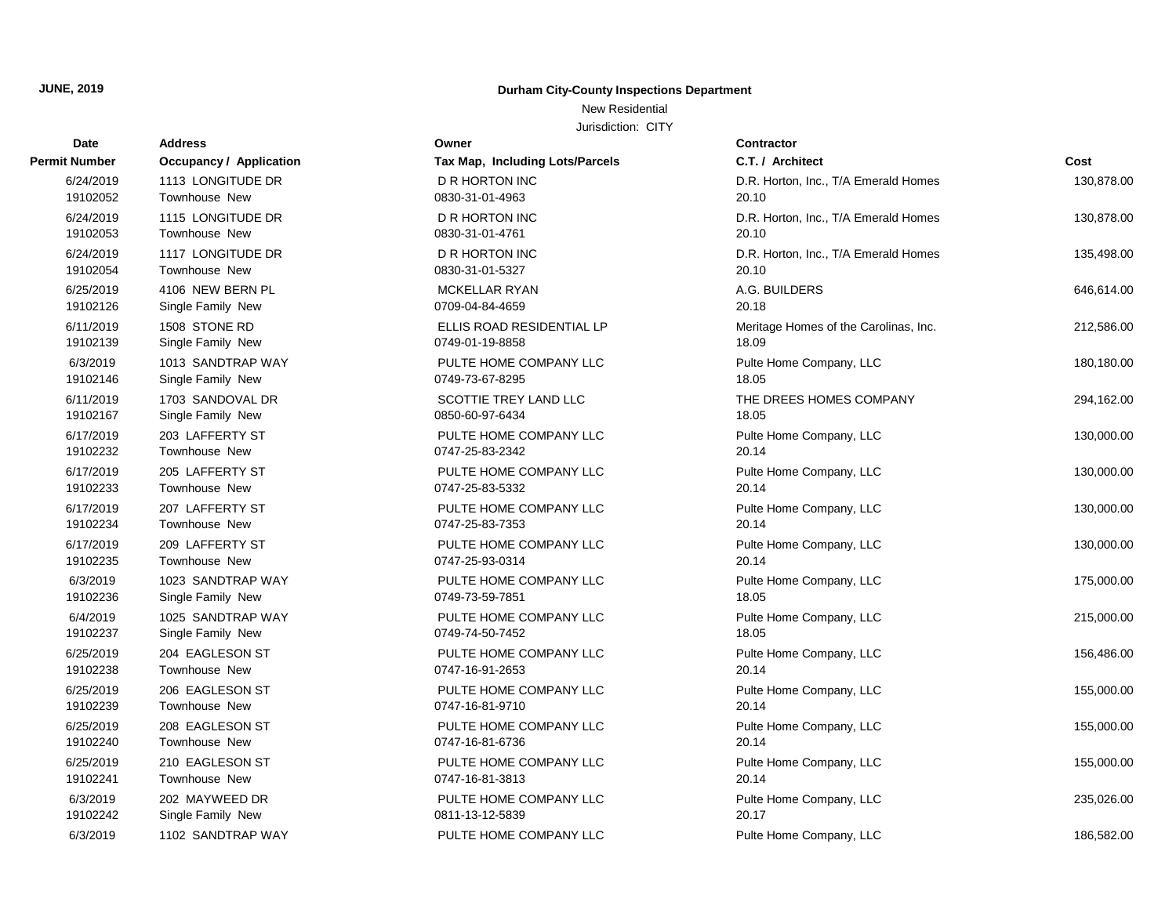## **Date Address Owner Contractor Permit Number Occupancy / Application** 19102052 Townhouse New 6/24/2019 1113 LONGITUDE DR 19102054 Townhouse New 19102053 Townhouse New 19102139 Single Family New 19102126 Single Family New 19102167 Single Family New 6/11/2019 1703 SANDOVAL DR 19102146 Single Family New 6/3/2019 1013 SANDTRAP WAY 19102233 Townhouse New 19102232 Townhouse New 19102235 Townhouse New 19102234 Townhouse New 19102237 Single Family New 6/4/2019 1025 SANDTRAP WAY 19102236 Single Family New 6/3/2019 1023 SANDTRAP WAY 19102239 Townhouse New 19102238 Townhouse New 19102241 Townhouse New 19102240 Townhouse New 19102242 Single Family New

### **JUNE, 2019 Durham City-County Inspections Department**

New Residential

| <b>Number</b>        | <b>Occupancy / Application</b>          | Tax Map, Including Lots/Parcels           | C.T. / Architect                      | Cost       |
|----------------------|-----------------------------------------|-------------------------------------------|---------------------------------------|------------|
| 6/24/2019            | 1113 LONGITUDE DR                       | <b>D R HORTON INC</b>                     | D.R. Horton, Inc., T/A Emerald Homes  | 130,878.00 |
| 19102052             | Townhouse New                           | 0830-31-01-4963                           | 20.10                                 |            |
| 6/24/2019            | 1115 LONGITUDE DR                       | <b>D R HORTON INC</b>                     | D.R. Horton, Inc., T/A Emerald Homes  | 130,878.00 |
| 19102053             | <b>Townhouse New</b>                    | 0830-31-01-4761                           | 20.10                                 |            |
| 6/24/2019            | 1117 LONGITUDE DR                       | <b>D R HORTON INC</b>                     | D.R. Horton, Inc., T/A Emerald Homes  | 135,498.00 |
| 19102054             | Townhouse New                           | 0830-31-01-5327                           | 20.10                                 |            |
| 6/25/2019            | 4106 NEW BERN PL                        | <b>MCKELLAR RYAN</b>                      | A.G. BUILDERS                         | 646,614.00 |
| 19102126             | Single Family New                       | 0709-04-84-4659                           | 20.18                                 |            |
| 6/11/2019            | 1508 STONE RD                           | ELLIS ROAD RESIDENTIAL LP                 | Meritage Homes of the Carolinas, Inc. | 212,586.00 |
| 19102139             | Single Family New                       | 0749-01-19-8858                           | 18.09                                 |            |
| 6/3/2019             | 1013 SANDTRAP WAY                       | PULTE HOME COMPANY LLC                    | Pulte Home Company, LLC               | 180,180.00 |
| 19102146             | Single Family New                       | 0749-73-67-8295                           | 18.05                                 |            |
| 6/11/2019            | 1703 SANDOVAL DR                        | SCOTTIE TREY LAND LLC                     | THE DREES HOMES COMPANY               | 294,162.00 |
| 19102167             | Single Family New                       | 0850-60-97-6434                           | 18.05                                 |            |
| 6/17/2019            | 203 LAFFERTY ST                         | PULTE HOME COMPANY LLC                    | Pulte Home Company, LLC               | 130,000.00 |
| 19102232             | <b>Townhouse New</b>                    | 0747-25-83-2342                           | 20.14                                 |            |
| 6/17/2019            | 205 LAFFERTY ST                         | PULTE HOME COMPANY LLC                    | Pulte Home Company, LLC               | 130,000.00 |
| 19102233             | <b>Townhouse New</b>                    | 0747-25-83-5332                           | 20.14                                 |            |
| 6/17/2019            | 207 LAFFERTY ST                         | PULTE HOME COMPANY LLC                    | Pulte Home Company, LLC               | 130,000.00 |
| 19102234             | <b>Townhouse New</b>                    | 0747-25-83-7353                           | 20.14                                 |            |
| 6/17/2019            | 209 LAFFERTY ST                         | PULTE HOME COMPANY LLC                    | Pulte Home Company, LLC               | 130,000.00 |
| 19102235             | <b>Townhouse New</b>                    | 0747-25-93-0314                           | 20.14                                 |            |
| 6/3/2019             | 1023 SANDTRAP WAY                       | PULTE HOME COMPANY LLC                    | Pulte Home Company, LLC               | 175,000.00 |
| 19102236             | Single Family New                       | 0749-73-59-7851                           | 18.05                                 |            |
| 6/4/2019             | 1025 SANDTRAP WAY                       | PULTE HOME COMPANY LLC                    | Pulte Home Company, LLC               | 215,000.00 |
| 19102237             | Single Family New                       | 0749-74-50-7452                           | 18.05                                 |            |
| 6/25/2019            | 204 EAGLESON ST                         | PULTE HOME COMPANY LLC                    | Pulte Home Company, LLC               | 156,486.00 |
| 19102238             | Townhouse New                           | 0747-16-91-2653                           | 20.14                                 |            |
| 6/25/2019            | 206 EAGLESON ST                         | PULTE HOME COMPANY LLC                    | Pulte Home Company, LLC               | 155,000.00 |
| 19102239             | <b>Townhouse New</b>                    | 0747-16-81-9710                           | 20.14                                 |            |
| 6/25/2019            | 208 EAGLESON ST                         | PULTE HOME COMPANY LLC                    | Pulte Home Company, LLC               | 155,000.00 |
| 19102240             | <b>Townhouse New</b>                    | 0747-16-81-6736                           | 20.14                                 |            |
| 6/25/2019            | 210 EAGLESON ST<br><b>Townhouse New</b> | PULTE HOME COMPANY LLC<br>0747-16-81-3813 | Pulte Home Company, LLC<br>20.14      | 155,000.00 |
| 19102241             |                                         |                                           |                                       |            |
| 6/3/2019<br>19102242 | 202 MAYWEED DR<br>Single Family New     | PULTE HOME COMPANY LLC<br>0811-13-12-5839 | Pulte Home Company, LLC<br>20.17      | 235,026.00 |
|                      |                                         |                                           |                                       |            |
| 6/3/2019             | 1102 SANDTRAP WAY                       | PULTE HOME COMPANY LLC                    | Pulte Home Company, LLC               | 186,582.00 |
|                      |                                         |                                           |                                       |            |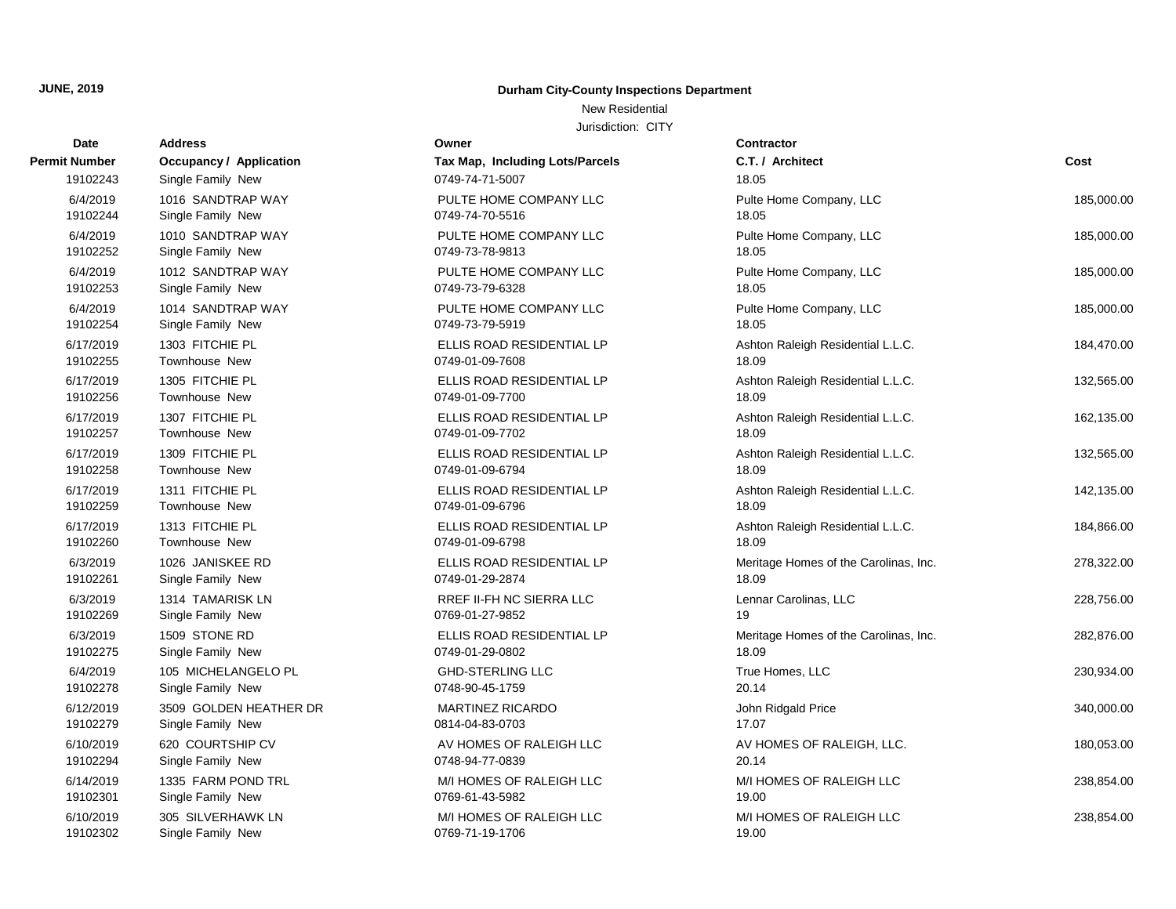New Residential

| Date          | <b>Address</b>                 | Owner                           | <b>Contractor</b>                     |            |
|---------------|--------------------------------|---------------------------------|---------------------------------------|------------|
| <b>Number</b> | <b>Occupancy / Application</b> | Tax Map, Including Lots/Parcels | C.T. / Architect                      | Cost       |
| 19102243      | Single Family New              | 0749-74-71-5007                 | 18.05                                 |            |
| 6/4/2019      | 1016 SANDTRAP WAY              | PULTE HOME COMPANY LLC          | Pulte Home Company, LLC               | 185,000.00 |
| 19102244      | Single Family New              | 0749-74-70-5516                 | 18.05                                 |            |
| 6/4/2019      | 1010 SANDTRAP WAY              | PULTE HOME COMPANY LLC          | Pulte Home Company, LLC               | 185,000.00 |
| 19102252      | Single Family New              | 0749-73-78-9813                 | 18.05                                 |            |
| 6/4/2019      | 1012 SANDTRAP WAY              | PULTE HOME COMPANY LLC          | Pulte Home Company, LLC               | 185,000.00 |
| 19102253      | Single Family New              | 0749-73-79-6328                 | 18.05                                 |            |
| 6/4/2019      | 1014 SANDTRAP WAY              | PULTE HOME COMPANY LLC          | Pulte Home Company, LLC               | 185,000.00 |
| 19102254      | Single Family New              | 0749-73-79-5919                 | 18.05                                 |            |
| 6/17/2019     | 1303 FITCHIE PL                | ELLIS ROAD RESIDENTIAL LP       | Ashton Raleigh Residential L.L.C.     | 184,470.00 |
| 19102255      | Townhouse New                  | 0749-01-09-7608                 | 18.09                                 |            |
| 6/17/2019     | 1305 FITCHIE PL                | ELLIS ROAD RESIDENTIAL LP       | Ashton Raleigh Residential L.L.C.     | 132,565.00 |
| 19102256      | Townhouse New                  | 0749-01-09-7700                 | 18.09                                 |            |
| 6/17/2019     | 1307 FITCHIE PL                | ELLIS ROAD RESIDENTIAL LP       | Ashton Raleigh Residential L.L.C.     | 162,135.00 |
| 19102257      | Townhouse New                  | 0749-01-09-7702                 | 18.09                                 |            |
| 6/17/2019     | 1309 FITCHIE PL                | ELLIS ROAD RESIDENTIAL LP       | Ashton Raleigh Residential L.L.C.     | 132,565.00 |
| 19102258      | <b>Townhouse New</b>           | 0749-01-09-6794                 | 18.09                                 |            |
| 6/17/2019     | 1311 FITCHIE PL                | ELLIS ROAD RESIDENTIAL LP       | Ashton Raleigh Residential L.L.C.     | 142,135.00 |
| 19102259      | Townhouse New                  | 0749-01-09-6796                 | 18.09                                 |            |
| 6/17/2019     | 1313 FITCHIE PL                | ELLIS ROAD RESIDENTIAL LP       | Ashton Raleigh Residential L.L.C.     | 184,866.00 |
| 19102260      | Townhouse New                  | 0749-01-09-6798                 | 18.09                                 |            |
| 6/3/2019      | 1026 JANISKEE RD               | ELLIS ROAD RESIDENTIAL LP       | Meritage Homes of the Carolinas, Inc. | 278,322.00 |
| 19102261      | Single Family New              | 0749-01-29-2874                 | 18.09                                 |            |
| 6/3/2019      | 1314 TAMARISK LN               | RREF II-FH NC SIERRA LLC        | Lennar Carolinas, LLC                 | 228,756.00 |
| 19102269      | Single Family New              | 0769-01-27-9852                 | 19                                    |            |
| 6/3/2019      | 1509 STONE RD                  | ELLIS ROAD RESIDENTIAL LP       | Meritage Homes of the Carolinas, Inc. | 282,876.00 |
| 19102275      | Single Family New              | 0749-01-29-0802                 | 18.09                                 |            |
| 6/4/2019      | 105 MICHELANGELO PL            | <b>GHD-STERLING LLC</b>         | True Homes, LLC                       | 230,934.00 |
| 19102278      | Single Family New              | 0748-90-45-1759                 | 20.14                                 |            |
| 6/12/2019     | 3509 GOLDEN HEATHER DR         | <b>MARTINEZ RICARDO</b>         | John Ridgald Price                    | 340,000.00 |
| 19102279      | Single Family New              | 0814-04-83-0703                 | 17.07                                 |            |
| 6/10/2019     | 620 COURTSHIP CV               | AV HOMES OF RALEIGH LLC         | AV HOMES OF RALEIGH, LLC.             | 180,053.00 |
| 19102294      | Single Family New              | 0748-94-77-0839                 | 20.14                                 |            |
| 6/14/2019     | 1335 FARM POND TRL             | M/I HOMES OF RALEIGH LLC        | M/I HOMES OF RALEIGH LLC              | 238,854.00 |
| 19102301      | Single Family New              | 0769-61-43-5982                 | 19.00                                 |            |
| 6/10/2019     | 305 SILVERHAWK LN              | M/I HOMES OF RALEIGH LLC        | M/I HOMES OF RALEIGH LLC              | 238,854.00 |
| 19102302      | Single Family New              | 0769-71-19-1706                 | 19.00                                 |            |

| <b>Permit Number</b> | Occupancy / Application                | Tax Map, Including Lots/Parcels           |
|----------------------|----------------------------------------|-------------------------------------------|
| 19102243             | Single Family New                      | 0749-74-71-5007                           |
| 6/4/2019             | 1016 SANDTRAP WAY<br>Single Family New | PULTE HOME COMPANY LLC<br>0749-74-70-5516 |
| 19102244             |                                        |                                           |
| 6/4/2019             | 1010 SANDTRAP WAY                      | PULTE HOME COMPANY LLC                    |
| 19102252             | Single Family New                      | 0749-73-78-9813                           |
| 6/4/2019             | 1012 SANDTRAP WAY                      | PULTE HOME COMPANY LLC                    |
| 19102253             | Single Family New                      | 0749-73-79-6328                           |
| 6/4/2019             | 1014 SANDTRAP WAY                      | PULTE HOME COMPANY LLC                    |
| 19102254             | Single Family New                      | 0749-73-79-5919                           |
| 6/17/2019            | 1303 FITCHIE PL                        | ELLIS ROAD RESIDENTIAL LP                 |
| 19102255             | Townhouse New                          | 0749-01-09-7608                           |
| 6/17/2019            | 1305 FITCHIE PL                        | ELLIS ROAD RESIDENTIAL LP                 |
| 19102256             | <b>Townhouse New</b>                   | 0749-01-09-7700                           |
| 6/17/2019            | 1307 FITCHIE PL                        | ELLIS ROAD RESIDENTIAL LP                 |
| 19102257             | <b>Townhouse New</b>                   | 0749-01-09-7702                           |
| 6/17/2019            | 1309 FITCHIE PL                        | ELLIS ROAD RESIDENTIAL LP                 |
| 19102258             | Townhouse New                          | 0749-01-09-6794                           |
| 6/17/2019            | 1311 FITCHIE PL                        | ELLIS ROAD RESIDENTIAL LP                 |
| 19102259             | <b>Townhouse New</b>                   | 0749-01-09-6796                           |
| 6/17/2019            | 1313 FITCHIE PL                        | ELLIS ROAD RESIDENTIAL LP                 |
| 19102260             | <b>Townhouse New</b>                   | 0749-01-09-6798                           |
| 6/3/2019             | 1026 JANISKEE RD                       | ELLIS ROAD RESIDENTIAL LP                 |
| 19102261             | Single Family New                      | 0749-01-29-2874                           |
| 6/3/2019             | 1314 TAMARISK LN                       | <b>RREF II-FH NC SIERRA LLC</b>           |
| 19102269             | Single Family New                      | 0769-01-27-9852                           |
| 6/3/2019             | 1509 STONE RD                          | ELLIS ROAD RESIDENTIAL LP                 |
| 19102275             | Single Family New                      | 0749-01-29-0802                           |
| 6/4/2019             | 105 MICHELANGELO PL                    | <b>GHD-STERLING LLC</b>                   |
| 19102278             | Single Family New                      | 0748-90-45-1759                           |
| 6/12/2019            | 3509 GOLDEN HEATHER DR                 | <b>MARTINEZ RICARDO</b>                   |
| 19102279             | Single Family New                      | 0814-04-83-0703                           |
| 6/10/2019            | 620 COURTSHIP CV                       | AV HOMES OF RALEIGH LLC                   |
| 19102294             | Single Family New                      | 0748-94-77-0839                           |
| 6/14/2019            | 1335 FARM POND TRL                     | M/I HOMES OF RALEIGH LLC                  |
| 19102301             | Single Family New                      | 0769-61-43-5982                           |
| 6/10/2019            | 305 SILVERHAWK LN                      | M/I HOMES OF RALEIGH LLC                  |
| 19102302             | Single Family New                      | 0769-71-19-1706                           |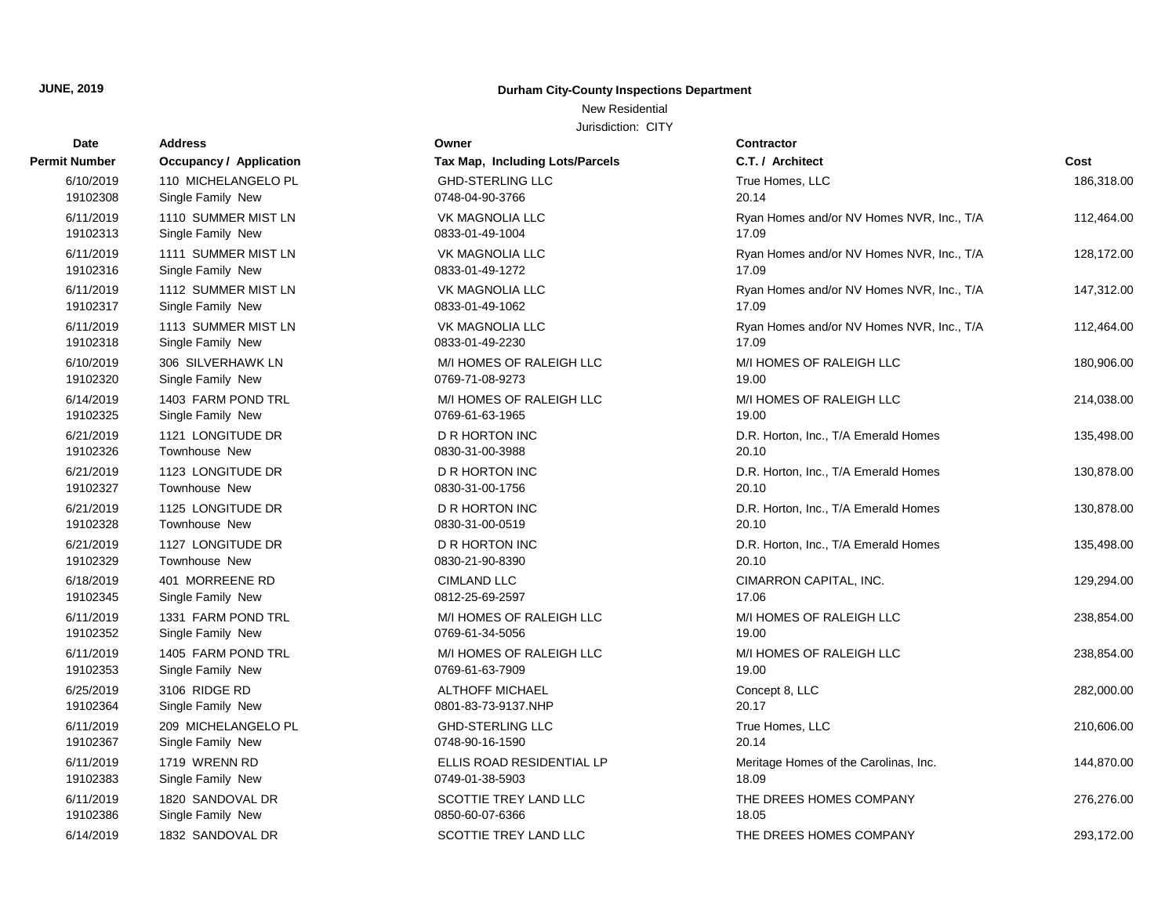New Residential

| Date          | <b>Address</b>                 | Owner                           | Contractor      |
|---------------|--------------------------------|---------------------------------|-----------------|
| Permit Number | <b>Occupancy / Application</b> | Tax Map, Including Lots/Parcels | C.T. / Arch     |
| 6/10/2019     | 110 MICHELANGELO PL            | <b>GHD-STERLING LLC</b>         | True Home       |
| 19102308      | Single Family New              | 0748-04-90-3766                 | 20.14           |
| 6/11/2019     | 1110 SUMMER MIST LN            | <b>VK MAGNOLIA LLC</b>          | Ryan Home       |
| 19102313      | Single Family New              | 0833-01-49-1004                 | 17.09           |
| 6/11/2019     | 1111 SUMMER MIST LN            | <b>VK MAGNOLIA LLC</b>          | Ryan Home       |
| 19102316      | Single Family New              | 0833-01-49-1272                 | 17.09           |
| 6/11/2019     | 1112 SUMMER MIST LN            | VK MAGNOLIA LLC                 | Ryan Home       |
| 19102317      | Single Family New              | 0833-01-49-1062                 | 17.09           |
| 6/11/2019     | 1113 SUMMER MIST LN            | <b>VK MAGNOLIA LLC</b>          | Ryan Home       |
| 19102318      | Single Family New              | 0833-01-49-2230                 | 17.09           |
| 6/10/2019     | 306 SILVERHAWK LN              | M/I HOMES OF RALEIGH LLC        | M/I HOMES       |
| 19102320      | Single Family New              | 0769-71-08-9273                 | 19.00           |
| 6/14/2019     | 1403 FARM POND TRL             | M/I HOMES OF RALEIGH LLC        | M/I HOMES       |
| 19102325      | Single Family New              | 0769-61-63-1965                 | 19.00           |
| 6/21/2019     | 1121 LONGITUDE DR              | D R HORTON INC                  | D.R. Hortor     |
| 19102326      | Townhouse New                  | 0830-31-00-3988                 | 20.10           |
| 6/21/2019     | 1123 LONGITUDE DR              | D R HORTON INC                  | D.R. Hortor     |
| 19102327      | Townhouse New                  | 0830-31-00-1756                 | 20.10           |
| 6/21/2019     | 1125 LONGITUDE DR              | <b>D R HORTON INC</b>           | D.R. Hortor     |
| 19102328      | Townhouse New                  | 0830-31-00-0519                 | 20.10           |
| 6/21/2019     | 1127 LONGITUDE DR              | D R HORTON INC                  | D.R. Hortor     |
| 19102329      | Townhouse New                  | 0830-21-90-8390                 | 20.10           |
| 6/18/2019     | 401 MORREENE RD                | <b>CIMLAND LLC</b>              | <b>CIMARRON</b> |
| 19102345      | Single Family New              | 0812-25-69-2597                 | 17.06           |
| 6/11/2019     | 1331 FARM POND TRL             | M/I HOMES OF RALEIGH LLC        | M/I HOMES       |
| 19102352      | Single Family New              | 0769-61-34-5056                 | 19.00           |
| 6/11/2019     | 1405 FARM POND TRL             | M/I HOMES OF RALEIGH LLC        | M/I HOMES       |
| 19102353      | Single Family New              | 0769-61-63-7909                 | 19.00           |
| 6/25/2019     | 3106 RIDGE RD                  | <b>ALTHOFF MICHAEL</b>          | Concept 8,      |
| 19102364      | Single Family New              | 0801-83-73-9137.NHP             | 20.17           |
| 6/11/2019     | 209 MICHELANGELO PL            | <b>GHD-STERLING LLC</b>         | True Home       |
| 19102367      | Single Family New              | 0748-90-16-1590                 | 20.14           |
| 6/11/2019     | 1719 WRENN RD                  | ELLIS ROAD RESIDENTIAL LP       | Meritage H      |
| 19102383      | Single Family New              | 0749-01-38-5903                 | 18.09           |
| 6/11/2019     | 1820 SANDOVAL DR               | SCOTTIE TREY LAND LLC           | THE DREE        |
| 19102386      | Single Family New              | 0850-60-07-6366                 | 18.05           |
| 6/14/2019     | 1832 SANDOVAL DR               | SCOTTIE TREY LAND LLC           | THE DREE        |

| Tax Map, Including Lots/Parcels                 |
|-------------------------------------------------|
| <b>GHD-STERLING LLC</b><br>0748-04-90-3766      |
| <b>VK MAGNOLIA LLC</b><br>0833-01-49-1004       |
| VK MAGNOLIA LLC<br>0833-01-49-1272              |
| VK MAGNOLIA LLC<br>0833-01-49-1062              |
| <b>VK MAGNOLIA LLC</b><br>0833-01-49-2230       |
| M/I HOMES OF RALEIGH LLC<br>0769-71-08-9273     |
| M/I HOMES OF RALEIGH LLC<br>0769-61-63-1965     |
| D R HORTON INC<br>0830-31-00-3988               |
| D R HORTON INC<br>0830-31-00-1756               |
| <b>D R HORTON INC</b><br>0830-31-00-0519        |
| <b>D R HORTON INC</b><br>0830-21-90-8390        |
| <b>CIMLAND LLC</b><br>0812-25-69-2597           |
| M/I HOMES OF RALEIGH LLC<br>0769-61-34-5056     |
| M/I HOMES OF RALEIGH LLC<br>0769-61-63-7909     |
| <b>ALTHOFF MICHAEL</b><br>0801-83-73-9137.NHP   |
| <b>GHD-STERLING LLC</b><br>0748-90-16-1590      |
| ELLIS ROAD RESIDENTIAL LP<br>0749-01-38-5903    |
| <b>SCOTTIE TREY LAND LLC</b><br>0850-60-07-6366 |
| SCOTTIF TREY LAND LLC                           |

| Dalc      |                         |                                 |                                           |            |
|-----------|-------------------------|---------------------------------|-------------------------------------------|------------|
| : Number  | Occupancy / Application | Tax Map, Including Lots/Parcels | C.T. / Architect                          | Cost       |
| 6/10/2019 | 110 MICHELANGELO PL     | <b>GHD-STERLING LLC</b>         | True Homes, LLC<br>20.14                  | 186,318.00 |
| 19102308  | Single Family New       | 0748-04-90-3766                 |                                           |            |
| 6/11/2019 | 1110 SUMMER MIST LN     | VK MAGNOLIA LLC                 | Ryan Homes and/or NV Homes NVR, Inc., T/A | 112,464.00 |
| 19102313  | Single Family New       | 0833-01-49-1004                 | 17.09                                     |            |
| 6/11/2019 | 1111 SUMMER MIST LN     | VK MAGNOLIA LLC                 | Ryan Homes and/or NV Homes NVR, Inc., T/A | 128,172.00 |
| 19102316  | Single Family New       | 0833-01-49-1272                 | 17.09                                     |            |
| 6/11/2019 | 1112 SUMMER MIST LN     | VK MAGNOLIA LLC                 | Ryan Homes and/or NV Homes NVR, Inc., T/A | 147,312.00 |
| 19102317  | Single Family New       | 0833-01-49-1062                 | 17.09                                     |            |
| 6/11/2019 | 1113 SUMMER MIST LN     | VK MAGNOLIA LLC                 | Ryan Homes and/or NV Homes NVR, Inc., T/A | 112,464.00 |
| 19102318  | Single Family New       | 0833-01-49-2230                 | 17.09                                     |            |
| 6/10/2019 | 306 SILVERHAWK LN       | M/I HOMES OF RALEIGH LLC        | M/I HOMES OF RALEIGH LLC                  | 180,906.00 |
| 19102320  | Single Family New       | 0769-71-08-9273                 | 19.00                                     |            |
| 6/14/2019 | 1403 FARM POND TRL      | M/I HOMES OF RALEIGH LLC        | M/I HOMES OF RALEIGH LLC                  | 214,038.00 |
| 19102325  | Single Family New       | 0769-61-63-1965                 | 19.00                                     |            |
| 6/21/2019 | 1121 LONGITUDE DR       | <b>D R HORTON INC</b>           | D.R. Horton, Inc., T/A Emerald Homes      | 135,498.00 |
| 19102326  | Townhouse New           | 0830-31-00-3988                 | 20.10                                     |            |
| 6/21/2019 | 1123 LONGITUDE DR       | <b>D R HORTON INC</b>           | D.R. Horton, Inc., T/A Emerald Homes      | 130,878.00 |
| 19102327  | Townhouse New           | 0830-31-00-1756                 | 20.10                                     |            |
| 6/21/2019 | 1125 LONGITUDE DR       | <b>D R HORTON INC</b>           | D.R. Horton, Inc., T/A Emerald Homes      | 130,878.00 |
| 19102328  | <b>Townhouse New</b>    | 0830-31-00-0519                 | 20.10                                     |            |
| 6/21/2019 | 1127 LONGITUDE DR       | <b>D R HORTON INC</b>           | D.R. Horton, Inc., T/A Emerald Homes      | 135,498.00 |
| 19102329  | Townhouse New           | 0830-21-90-8390                 | 20.10                                     |            |
| 6/18/2019 | 401 MORREENE RD         | <b>CIMLAND LLC</b>              | CIMARRON CAPITAL, INC.                    | 129,294.00 |
| 19102345  | Single Family New       | 0812-25-69-2597                 | 17.06                                     |            |
| 6/11/2019 | 1331 FARM POND TRL      | M/I HOMES OF RALEIGH LLC        | M/I HOMES OF RALEIGH LLC                  | 238,854.00 |
| 19102352  | Single Family New       | 0769-61-34-5056                 | 19.00                                     |            |
| 6/11/2019 | 1405 FARM POND TRL      | M/I HOMES OF RALEIGH LLC        | M/I HOMES OF RALEIGH LLC                  | 238,854.00 |
| 19102353  | Single Family New       | 0769-61-63-7909                 | 19.00                                     |            |
| 6/25/2019 | 3106 RIDGE RD           | <b>ALTHOFF MICHAEL</b>          | Concept 8, LLC                            | 282,000.00 |
| 19102364  | Single Family New       | 0801-83-73-9137.NHP             | 20.17                                     |            |
| 6/11/2019 | 209 MICHELANGELO PL     | <b>GHD-STERLING LLC</b>         | True Homes, LLC                           | 210,606.00 |
| 19102367  | Single Family New       | 0748-90-16-1590                 | 20.14                                     |            |
| 6/11/2019 | 1719 WRENN RD           | ELLIS ROAD RESIDENTIAL LP       | Meritage Homes of the Carolinas, Inc.     | 144,870.00 |
| 19102383  | Single Family New       | 0749-01-38-5903                 | 18.09                                     |            |
| 6/11/2019 | 1820 SANDOVAL DR        | SCOTTIE TREY LAND LLC           | THE DREES HOMES COMPANY                   | 276,276.00 |
| 19102386  | Single Family New       | 0850-60-07-6366                 | 18.05                                     |            |
| 6/14/2019 | 1832 SANDOVAL DR        | SCOTTIE TREY LAND LLC           | THE DREES HOMES COMPANY                   | 293,172.00 |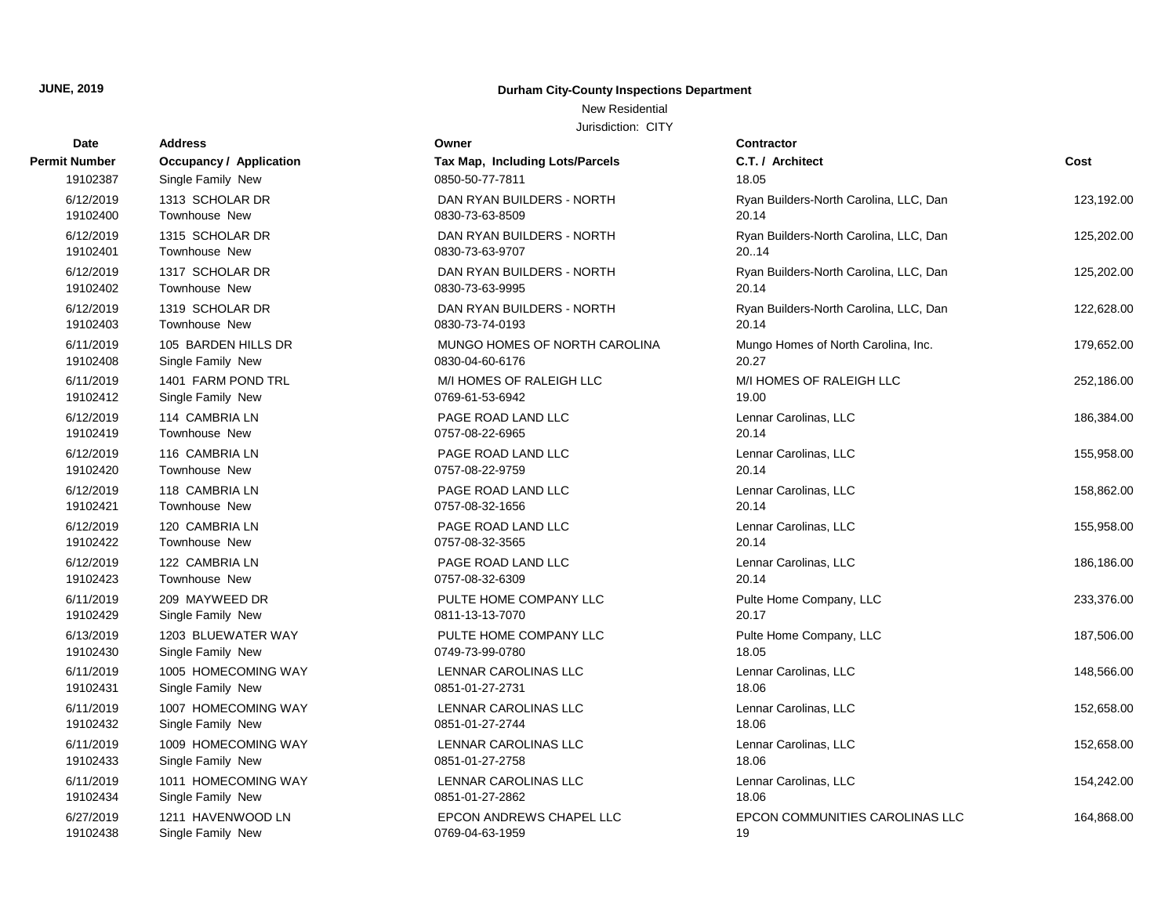New Residential

| Date                 | <b>Address</b>          | Owner                                  | <b>Contractor</b>                      |            |
|----------------------|-------------------------|----------------------------------------|----------------------------------------|------------|
| <b>Permit Number</b> | Occupancy / Application | <b>Tax Map, Including Lots/Parcels</b> | C.T. / Architect                       | Cost       |
| 19102387             | Single Family New       | 0850-50-77-7811                        | 18.05                                  |            |
| 6/12/2019            | 1313 SCHOLAR DR         | DAN RYAN BUILDERS - NORTH              | Ryan Builders-North Carolina, LLC, Dan | 123,192.00 |
| 19102400             | <b>Townhouse New</b>    | 0830-73-63-8509                        | 20.14                                  |            |
| 6/12/2019            | 1315 SCHOLAR DR         | DAN RYAN BUILDERS - NORTH              | Ryan Builders-North Carolina, LLC, Dan | 125,202.00 |
| 19102401             | Townhouse New           | 0830-73-63-9707                        | 20.14                                  |            |
| 6/12/2019            | 1317 SCHOLAR DR         | DAN RYAN BUILDERS - NORTH              | Ryan Builders-North Carolina, LLC, Dan | 125,202.00 |
| 19102402             | <b>Townhouse New</b>    | 0830-73-63-9995                        | 20.14                                  |            |
| 6/12/2019            | 1319 SCHOLAR DR         | DAN RYAN BUILDERS - NORTH              | Ryan Builders-North Carolina, LLC, Dan | 122,628.00 |
| 19102403             | Townhouse New           | 0830-73-74-0193                        | 20.14                                  |            |
| 6/11/2019            | 105 BARDEN HILLS DR     | MUNGO HOMES OF NORTH CAROLINA          | Mungo Homes of North Carolina, Inc.    | 179,652.00 |
| 19102408             | Single Family New       | 0830-04-60-6176                        | 20.27                                  |            |
| 6/11/2019            | 1401 FARM POND TRL      | M/I HOMES OF RALEIGH LLC               | M/I HOMES OF RALEIGH LLC               | 252,186.00 |
| 19102412             | Single Family New       | 0769-61-53-6942                        | 19.00                                  |            |
| 6/12/2019            | 114 CAMBRIA LN          | PAGE ROAD LAND LLC                     | Lennar Carolinas, LLC                  | 186,384.00 |
| 19102419             | <b>Townhouse New</b>    | 0757-08-22-6965                        | 20.14                                  |            |
| 6/12/2019            | 116 CAMBRIA LN          | PAGE ROAD LAND LLC                     | Lennar Carolinas, LLC                  | 155,958.00 |
| 19102420             | Townhouse New           | 0757-08-22-9759                        | 20.14                                  |            |
| 6/12/2019            | 118 CAMBRIA LN          | PAGE ROAD LAND LLC                     | Lennar Carolinas, LLC                  | 158,862.00 |
| 19102421             | <b>Townhouse New</b>    | 0757-08-32-1656                        | 20.14                                  |            |
| 6/12/2019            | 120 CAMBRIA LN          | PAGE ROAD LAND LLC                     | Lennar Carolinas, LLC                  | 155,958.00 |
| 19102422             | Townhouse New           | 0757-08-32-3565                        | 20.14                                  |            |
| 6/12/2019            | 122 CAMBRIA LN          | PAGE ROAD LAND LLC                     | Lennar Carolinas, LLC                  | 186,186.00 |
| 19102423             | Townhouse New           | 0757-08-32-6309                        | 20.14                                  |            |
| 6/11/2019            | 209 MAYWEED DR          | PULTE HOME COMPANY LLC                 | Pulte Home Company, LLC                | 233,376.00 |
| 19102429             | Single Family New       | 0811-13-13-7070                        | 20.17                                  |            |
| 6/13/2019            | 1203 BLUEWATER WAY      | PULTE HOME COMPANY LLC                 | Pulte Home Company, LLC                | 187,506.00 |
| 19102430             | Single Family New       | 0749-73-99-0780                        | 18.05                                  |            |
| 6/11/2019            | 1005 HOMECOMING WAY     | LENNAR CAROLINAS LLC                   | Lennar Carolinas, LLC                  | 148,566.00 |
| 19102431             | Single Family New       | 0851-01-27-2731                        | 18.06                                  |            |
| 6/11/2019            | 1007 HOMECOMING WAY     | LENNAR CAROLINAS LLC                   | Lennar Carolinas, LLC                  | 152,658.00 |
| 19102432             | Single Family New       | 0851-01-27-2744                        | 18.06                                  |            |
| 6/11/2019            | 1009 HOMECOMING WAY     | LENNAR CAROLINAS LLC                   | Lennar Carolinas, LLC                  | 152,658.00 |
| 19102433             | Single Family New       | 0851-01-27-2758                        | 18.06                                  |            |
| 6/11/2019            | 1011 HOMECOMING WAY     | <b>LENNAR CAROLINAS LLC</b>            | Lennar Carolinas, LLC                  | 154,242.00 |
| 19102434             | Single Family New       | 0851-01-27-2862                        | 18.06                                  |            |
| 6/27/2019            | 1211 HAVENWOOD LN       | EPCON ANDREWS CHAPEL LLC               | EPCON COMMUNITIES CAROLINAS LLC        | 164,868.00 |
| 19102438             | Single Family New       | 0769-04-63-1959                        | 19                                     |            |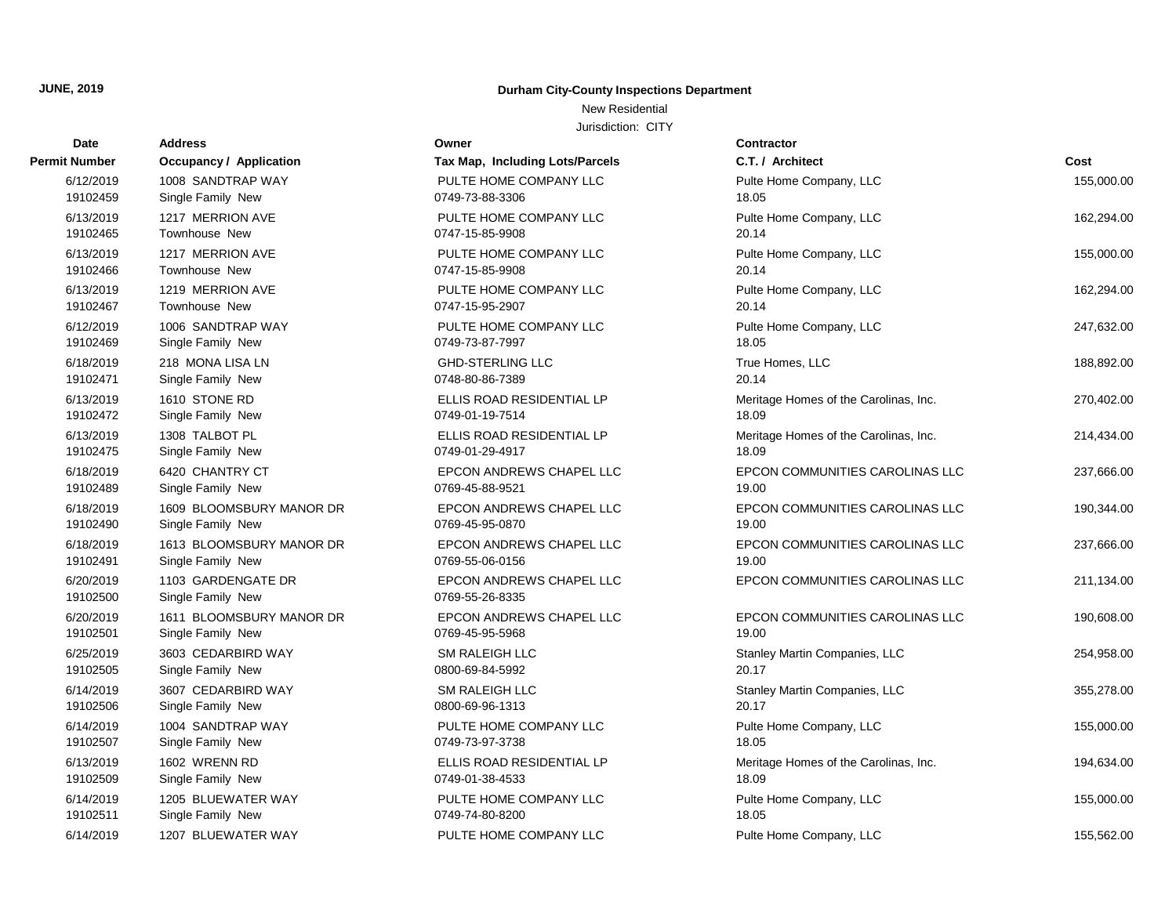New Residential

| Date          | <b>Address</b>                 | Owner                                  | Contractor        |
|---------------|--------------------------------|----------------------------------------|-------------------|
| Permit Number | <b>Occupancy / Application</b> | <b>Tax Map, Including Lots/Parcels</b> | C.T. / Arch       |
| 6/12/2019     | 1008 SANDTRAP WAY              | PULTE HOME COMPANY LLC                 | Pulte Home        |
| 19102459      | Single Family New              | 0749-73-88-3306                        | 18.05             |
| 6/13/2019     | 1217 MERRION AVE               | PULTE HOME COMPANY LLC                 | Pulte Home        |
| 19102465      | Townhouse New                  | 0747-15-85-9908                        | 20.14             |
| 6/13/2019     | 1217 MERRION AVE               | PULTE HOME COMPANY LLC                 | Pulte Home        |
| 19102466      | <b>Townhouse New</b>           | 0747-15-85-9908                        | 20.14             |
| 6/13/2019     | 1219 MERRION AVE               | PULTE HOME COMPANY LLC                 | Pulte Home        |
| 19102467      | Townhouse New                  | 0747-15-95-2907                        | 20.14             |
| 6/12/2019     | 1006 SANDTRAP WAY              | PULTE HOME COMPANY LLC                 | Pulte Home        |
| 19102469      | Single Family New              | 0749-73-87-7997                        | 18.05             |
| 6/18/2019     | 218 MONA LISA LN               | <b>GHD-STERLING LLC</b>                | True Home         |
| 19102471      | Single Family New              | 0748-80-86-7389                        | 20.14             |
| 6/13/2019     | 1610 STONE RD                  | ELLIS ROAD RESIDENTIAL LP              | Meritage He       |
| 19102472      | Single Family New              | 0749-01-19-7514                        | 18.09             |
| 6/13/2019     | 1308 TALBOT PL                 | ELLIS ROAD RESIDENTIAL LP              | Meritage He       |
| 19102475      | Single Family New              | 0749-01-29-4917                        | 18.09             |
| 6/18/2019     | 6420 CHANTRY CT                | EPCON ANDREWS CHAPEL LLC               | <b>EPCON CO</b>   |
| 19102489      | Single Family New              | 0769-45-88-9521                        | 19.00             |
| 6/18/2019     | 1609 BLOOMSBURY MANOR DR       | EPCON ANDREWS CHAPEL LLC               | <b>EPCON CO</b>   |
| 19102490      | Single Family New              | 0769-45-95-0870                        | 19.00             |
| 6/18/2019     | 1613 BLOOMSBURY MANOR DR       | EPCON ANDREWS CHAPEL LLC               | <b>EPCON CO</b>   |
| 19102491      | Single Family New              | 0769-55-06-0156                        | 19.00             |
| 6/20/2019     | 1103 GARDENGATE DR             | EPCON ANDREWS CHAPEL LLC               | EPCON CO          |
| 19102500      | Single Family New              | 0769-55-26-8335                        |                   |
| 6/20/2019     | 1611 BLOOMSBURY MANOR DR       | EPCON ANDREWS CHAPEL LLC               | <b>EPCON CO</b>   |
| 19102501      | Single Family New              | 0769-45-95-5968                        | 19.00             |
| 6/25/2019     | 3603 CEDARBIRD WAY             | <b>SM RALEIGH LLC</b>                  | Stanley Ma        |
| 19102505      | Single Family New              | 0800-69-84-5992                        | 20.17             |
| 6/14/2019     | 3607 CEDARBIRD WAY             | <b>SM RALEIGH LLC</b>                  | <b>Stanley Ma</b> |
| 19102506      | Single Family New              | 0800-69-96-1313                        | 20.17             |
| 6/14/2019     | 1004 SANDTRAP WAY              | PULTE HOME COMPANY LLC                 | Pulte Home        |
| 19102507      | Single Family New              | 0749-73-97-3738                        | 18.05             |
| 6/13/2019     | 1602 WRENN RD                  | ELLIS ROAD RESIDENTIAL LP              | Meritage H        |
| 19102509      | Single Family New              | 0749-01-38-4533                        | 18.09             |
| 6/14/2019     | 1205 BLUEWATER WAY             | PULTE HOME COMPANY LLC                 | Pulte Home        |
| 19102511      | Single Family New              | 0749-74-80-8200                        | 18.05             |
| 6/14/2019     | 1207 BLUEWATER WAY             | PULTE HOME COMPANY LLC                 | Pulte Home        |

| Date                  | Address                              | owner                                        | Contract                |
|-----------------------|--------------------------------------|----------------------------------------------|-------------------------|
| : Number              | <b>Occupancy / Application</b>       | Tax Map, Including Lots/Parcels              | C.T. / Ard              |
| 6/12/2019             | 1008 SANDTRAP WAY                    | PULTE HOME COMPANY LLC                       | Pulte Hon               |
| 19102459              | Single Family New                    | 0749-73-88-3306                              | 18.05                   |
| 6/13/2019             | 1217 MERRION AVE                     | PULTE HOME COMPANY LLC                       | Pulte Hon               |
| 19102465              | Townhouse New                        | 0747-15-85-9908                              | 20.14                   |
| 6/13/2019             | 1217 MERRION AVE                     | PULTE HOME COMPANY LLC                       | Pulte Hon               |
| 19102466              | <b>Townhouse New</b>                 | 0747-15-85-9908                              | 20.14                   |
| 6/13/2019             | 1219 MERRION AVE                     | PULTE HOME COMPANY LLC                       | Pulte Hon               |
| 19102467              | <b>Townhouse New</b>                 | 0747-15-95-2907                              | 20.14                   |
| 6/12/2019             | 1006 SANDTRAP WAY                    | PULTE HOME COMPANY LLC                       | Pulte Hon               |
| 19102469              | Single Family New                    | 0749-73-87-7997                              | 18.05                   |
| 6/18/2019             | 218 MONA LISA LN                     | <b>GHD-STERLING LLC</b>                      | True Hom                |
| 19102471              | Single Family New                    | 0748-80-86-7389                              | 20.14                   |
| 6/13/2019             | 1610 STONE RD                        | ELLIS ROAD RESIDENTIAL LP                    | Meritage I              |
| 19102472              | Single Family New                    | 0749-01-19-7514                              | 18.09                   |
| 6/13/2019             | 1308 TALBOT PL                       | ELLIS ROAD RESIDENTIAL LP<br>0749-01-29-4917 | Meritage                |
| 19102475              | Single Family New                    |                                              | 18.09                   |
| 6/18/2019<br>19102489 | 6420 CHANTRY CT<br>Single Family New | EPCON ANDREWS CHAPEL LLC<br>0769-45-88-9521  | <b>EPCON C</b><br>19.00 |
| 6/18/2019             | 1609 BLOOMSBURY MANOR DR             | EPCON ANDREWS CHAPEL LLC                     | <b>EPCON C</b>          |
| 19102490              | Single Family New                    | 0769-45-95-0870                              | 19.00                   |
| 6/18/2019             | 1613 BLOOMSBURY MANOR DR             | EPCON ANDREWS CHAPEL LLC                     | <b>EPCON C</b>          |
| 19102491              | Single Family New                    | 0769-55-06-0156                              | 19.00                   |
| 6/20/2019             | 1103 GARDENGATE DR                   | EPCON ANDREWS CHAPEL LLC                     | <b>EPCON C</b>          |
| 19102500              | Single Family New                    | 0769-55-26-8335                              |                         |
| 6/20/2019             | 1611 BLOOMSBURY MANOR DR             | EPCON ANDREWS CHAPEL LLC                     | <b>EPCON C</b>          |
| 19102501              | Single Family New                    | 0769-45-95-5968                              | 19.00                   |
| 6/25/2019             | 3603 CEDARBIRD WAY                   | <b>SM RALEIGH LLC</b>                        | Stanley M               |
| 19102505              | Single Family New                    | 0800-69-84-5992                              | 20.17                   |
| 6/14/2019             | 3607 CEDARBIRD WAY                   | SM RALEIGH LLC                               | Stanley M               |
| 19102506              | Single Family New                    | 0800-69-96-1313                              | 20.17                   |
| 6/14/2019             | 1004 SANDTRAP WAY                    | PULTE HOME COMPANY LLC                       | Pulte Hon               |
| 19102507              | Single Family New                    | 0749-73-97-3738                              | 18.05                   |
| 6/13/2019             | 1602 WRENN RD                        | ELLIS ROAD RESIDENTIAL LP                    | Meritage                |
| 19102509              | Single Family New                    | 0749-01-38-4533                              | 18.09                   |
| 6/14/2019             | 1205 BLUEWATER WAY                   | PULTE HOME COMPANY LLC                       | Pulte Hon               |
| 19102511              | Single Family New                    | 0749-74-80-8200                              | 18.05                   |
| 6/14/2019             | 1207 BLUEWATER WAY                   | PULTE HOME COMPANY LLC                       | Pulte Hon               |

| <b>Number</b>         | <b>Occupancy / Application</b>          | Tax Map, Including Lots/Parcels             | C.T. / Architect                      | Cost       |
|-----------------------|-----------------------------------------|---------------------------------------------|---------------------------------------|------------|
| 6/12/2019             | 1008 SANDTRAP WAY                       | PULTE HOME COMPANY LLC                      | Pulte Home Company, LLC               | 155,000.00 |
| 19102459              | Single Family New                       | 0749-73-88-3306                             | 18.05                                 |            |
| 6/13/2019             | 1217 MERRION AVE                        | PULTE HOME COMPANY LLC                      | Pulte Home Company, LLC               | 162,294.00 |
| 19102465              | Townhouse New                           | 0747-15-85-9908                             | 20.14                                 |            |
| 6/13/2019             | 1217 MERRION AVE                        | PULTE HOME COMPANY LLC                      | Pulte Home Company, LLC               | 155,000.00 |
| 19102466              | Townhouse New                           | 0747-15-85-9908                             | 20.14                                 |            |
| 6/13/2019             | 1219 MERRION AVE                        | PULTE HOME COMPANY LLC                      | Pulte Home Company, LLC               | 162,294.00 |
| 19102467              | <b>Townhouse New</b>                    | 0747-15-95-2907                             | 20.14                                 |            |
| 6/12/2019             | 1006 SANDTRAP WAY                       | PULTE HOME COMPANY LLC                      | Pulte Home Company, LLC               | 247,632.00 |
| 19102469              | Single Family New                       | 0749-73-87-7997                             | 18.05                                 |            |
| 6/18/2019             | 218 MONA LISA LN                        | <b>GHD-STERLING LLC</b>                     | True Homes, LLC                       | 188,892.00 |
| 19102471              | Single Family New                       | 0748-80-86-7389                             | 20.14                                 |            |
| 6/13/2019             | 1610 STONE RD                           | ELLIS ROAD RESIDENTIAL LP                   | Meritage Homes of the Carolinas, Inc. | 270,402.00 |
| 19102472              | Single Family New                       | 0749-01-19-7514                             | 18.09                                 |            |
| 6/13/2019             | 1308 TALBOT PL                          | ELLIS ROAD RESIDENTIAL LP                   | Meritage Homes of the Carolinas, Inc. | 214,434.00 |
| 19102475              | Single Family New                       | 0749-01-29-4917                             | 18.09                                 |            |
| 6/18/2019             | 6420 CHANTRY CT                         | EPCON ANDREWS CHAPEL LLC                    | EPCON COMMUNITIES CAROLINAS LLC       | 237,666.00 |
| 19102489              | Single Family New                       | 0769-45-88-9521                             | 19.00                                 |            |
| 6/18/2019             | 1609 BLOOMSBURY MANOR DR                | EPCON ANDREWS CHAPEL LLC                    | EPCON COMMUNITIES CAROLINAS LLC       | 190,344.00 |
| 19102490              | Single Family New                       | 0769-45-95-0870                             | 19.00                                 |            |
| 6/18/2019             | 1613 BLOOMSBURY MANOR DR                | EPCON ANDREWS CHAPEL LLC                    | EPCON COMMUNITIES CAROLINAS LLC       | 237,666.00 |
| 19102491              | Single Family New                       | 0769-55-06-0156                             | 19.00                                 |            |
| 6/20/2019<br>19102500 | 1103 GARDENGATE DR<br>Single Family New | EPCON ANDREWS CHAPEL LLC<br>0769-55-26-8335 | EPCON COMMUNITIES CAROLINAS LLC       | 211,134.00 |
| 6/20/2019             | 1611 BLOOMSBURY MANOR DR                | <b>EPCON ANDREWS CHAPEL LLC</b>             | EPCON COMMUNITIES CAROLINAS LLC       | 190,608.00 |
| 19102501              | Single Family New                       | 0769-45-95-5968                             | 19.00                                 |            |
| 6/25/2019             | 3603 CEDARBIRD WAY                      | <b>SM RALEIGH LLC</b>                       | Stanley Martin Companies, LLC         | 254,958.00 |
| 19102505              | Single Family New                       | 0800-69-84-5992                             | 20.17                                 |            |
| 6/14/2019             | 3607 CEDARBIRD WAY                      | <b>SM RALEIGH LLC</b>                       | Stanley Martin Companies, LLC         | 355,278.00 |
| 19102506              | Single Family New                       | 0800-69-96-1313                             | 20.17                                 |            |
| 6/14/2019             | 1004 SANDTRAP WAY                       | PULTE HOME COMPANY LLC                      | Pulte Home Company, LLC               | 155,000.00 |
| 19102507              | Single Family New                       | 0749-73-97-3738                             | 18.05                                 |            |
| 6/13/2019             | 1602 WRENN RD                           | ELLIS ROAD RESIDENTIAL LP                   | Meritage Homes of the Carolinas, Inc. | 194,634.00 |
| 19102509              | Single Family New                       | 0749-01-38-4533                             | 18.09                                 |            |
| 6/14/2019             | 1205 BLUEWATER WAY                      | PULTE HOME COMPANY LLC                      | Pulte Home Company, LLC               | 155,000.00 |
| 19102511              | Single Family New                       | 0749-74-80-8200                             | 18.05                                 |            |
| 6/14/2019             | 1207 BLUEWATER WAY                      | PULTE HOME COMPANY LLC                      | Pulte Home Company, LLC               | 155.562.00 |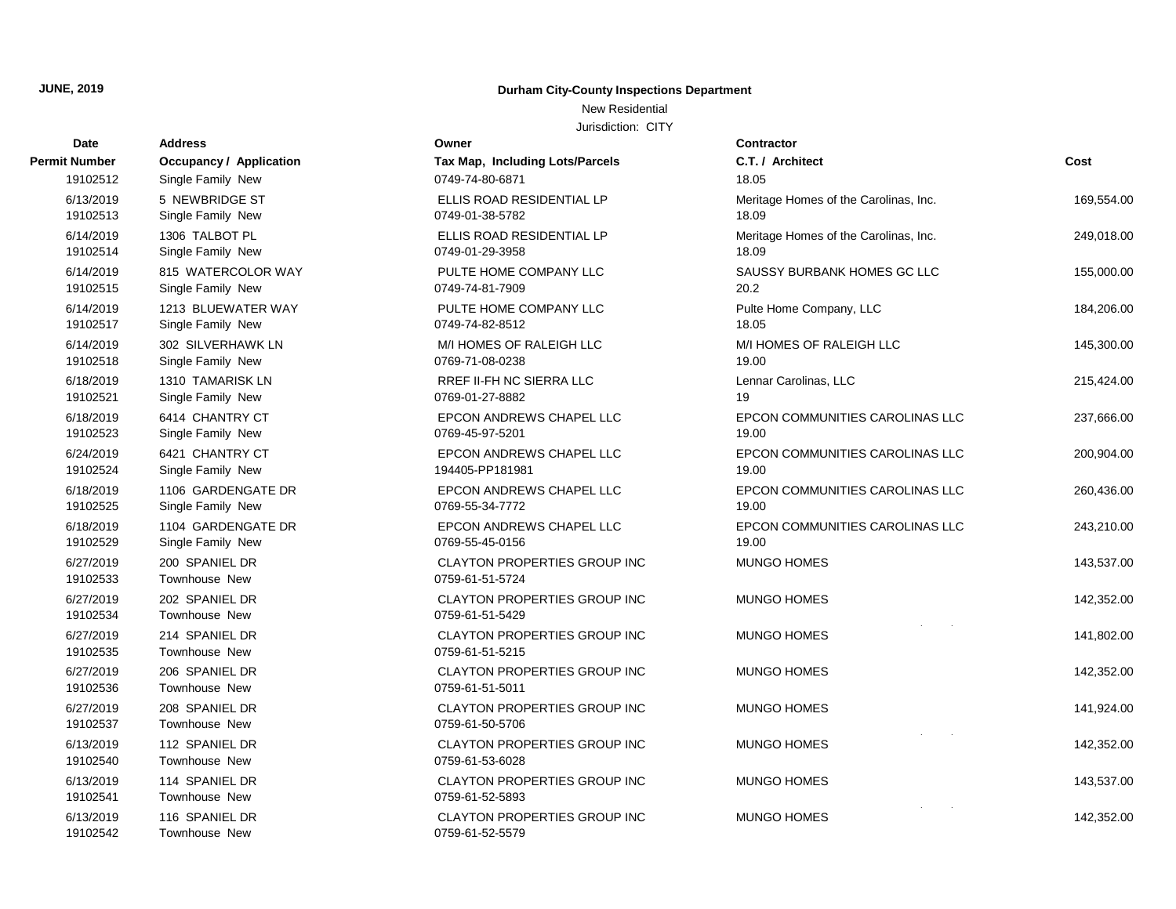New Residential

| Date                  | <b>Address</b>                          | Owner                                                  | <b>Contractor</b>                              |            |
|-----------------------|-----------------------------------------|--------------------------------------------------------|------------------------------------------------|------------|
| <b>Permit Number</b>  | <b>Occupancy / Application</b>          | Tax Map, Including Lots/Parcels                        | C.T. / Architect                               | Cost       |
| 19102512              | Single Family New                       | 0749-74-80-6871                                        | 18.05                                          |            |
| 6/13/2019<br>19102513 | 5 NEWBRIDGE ST<br>Single Family New     | ELLIS ROAD RESIDENTIAL LP<br>0749-01-38-5782           | Meritage Homes of the Carolinas, Inc.<br>18.09 | 169,554.00 |
| 6/14/2019<br>19102514 | 1306 TALBOT PL<br>Single Family New     | ELLIS ROAD RESIDENTIAL LP<br>0749-01-29-3958           | Meritage Homes of the Carolinas, Inc.<br>18.09 | 249,018.00 |
| 6/14/2019<br>19102515 | 815 WATERCOLOR WAY<br>Single Family New | PULTE HOME COMPANY LLC<br>0749-74-81-7909              | SAUSSY BURBANK HOMES GC LLC<br>20.2            | 155,000.00 |
| 6/14/2019<br>19102517 | 1213 BLUEWATER WAY<br>Single Family New | PULTE HOME COMPANY LLC<br>0749-74-82-8512              | Pulte Home Company, LLC<br>18.05               | 184,206.00 |
| 6/14/2019<br>19102518 | 302 SILVERHAWK LN<br>Single Family New  | M/I HOMES OF RALEIGH LLC<br>0769-71-08-0238            | M/I HOMES OF RALEIGH LLC<br>19.00              | 145,300.00 |
| 6/18/2019<br>19102521 | 1310 TAMARISK LN<br>Single Family New   | RREF II-FH NC SIERRA LLC<br>0769-01-27-8882            | Lennar Carolinas, LLC<br>19                    | 215,424.00 |
| 6/18/2019<br>19102523 | 6414 CHANTRY CT<br>Single Family New    | EPCON ANDREWS CHAPEL LLC<br>0769-45-97-5201            | EPCON COMMUNITIES CAROLINAS LLC<br>19.00       | 237,666.00 |
| 6/24/2019<br>19102524 | 6421 CHANTRY CT<br>Single Family New    | EPCON ANDREWS CHAPEL LLC<br>194405-PP181981            | EPCON COMMUNITIES CAROLINAS LLC<br>19.00       | 200,904.00 |
| 6/18/2019<br>19102525 | 1106 GARDENGATE DR<br>Single Family New | EPCON ANDREWS CHAPEL LLC<br>0769-55-34-7772            | EPCON COMMUNITIES CAROLINAS LLC<br>19.00       | 260,436.00 |
| 6/18/2019<br>19102529 | 1104 GARDENGATE DR<br>Single Family New | EPCON ANDREWS CHAPEL LLC<br>0769-55-45-0156            | EPCON COMMUNITIES CAROLINAS LLC<br>19.00       | 243,210.00 |
| 6/27/2019<br>19102533 | 200 SPANIEL DR<br>Townhouse New         | CLAYTON PROPERTIES GROUP INC<br>0759-61-51-5724        | MUNGO HOMES                                    | 143,537.00 |
| 6/27/2019<br>19102534 | 202 SPANIEL DR<br>Townhouse New         | <b>CLAYTON PROPERTIES GROUP INC</b><br>0759-61-51-5429 | <b>MUNGO HOMES</b>                             | 142,352.00 |
| 6/27/2019<br>19102535 | 214 SPANIEL DR<br>Townhouse New         | <b>CLAYTON PROPERTIES GROUP INC</b><br>0759-61-51-5215 | <b>MUNGO HOMES</b>                             | 141,802.00 |
| 6/27/2019<br>19102536 | 206 SPANIEL DR<br>Townhouse New         | CLAYTON PROPERTIES GROUP INC<br>0759-61-51-5011        | <b>MUNGO HOMES</b>                             | 142,352.00 |
| 6/27/2019<br>19102537 | 208 SPANIEL DR<br>Townhouse New         | <b>CLAYTON PROPERTIES GROUP INC</b><br>0759-61-50-5706 | <b>MUNGO HOMES</b>                             | 141,924.00 |
| 6/13/2019<br>19102540 | 112 SPANIEL DR<br>Townhouse New         | CLAYTON PROPERTIES GROUP INC<br>0759-61-53-6028        | <b>MUNGO HOMES</b>                             | 142,352.00 |
| 6/13/2019<br>19102541 | 114 SPANIEL DR<br>Townhouse New         | CLAYTON PROPERTIES GROUP INC<br>0759-61-52-5893        | <b>MUNGO HOMES</b>                             | 143,537.00 |
| 6/13/2019<br>19102542 | 116 SPANIEL DR<br>Townhouse New         | <b>CLAYTON PROPERTIES GROUP INC</b><br>0759-61-52-5579 | <b>MUNGO HOMES</b>                             | 142,352.00 |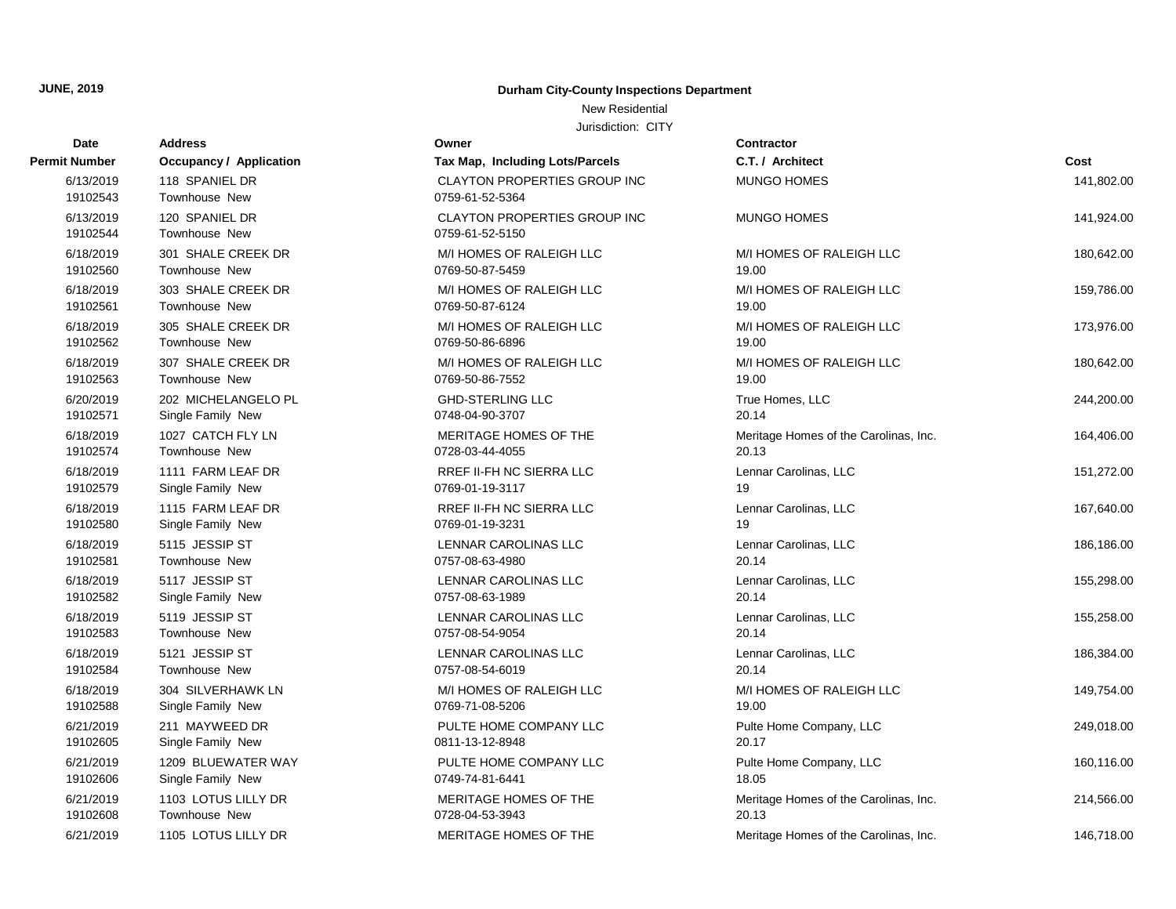New Residential

| Address                 | Owner                                                                                                                                                                                                                                                                                                                                                                                           | Contractor                                                                                                                                                                                                                                                                                                                                                                         |                                                                                                                                                                                                                                                                        |
|-------------------------|-------------------------------------------------------------------------------------------------------------------------------------------------------------------------------------------------------------------------------------------------------------------------------------------------------------------------------------------------------------------------------------------------|------------------------------------------------------------------------------------------------------------------------------------------------------------------------------------------------------------------------------------------------------------------------------------------------------------------------------------------------------------------------------------|------------------------------------------------------------------------------------------------------------------------------------------------------------------------------------------------------------------------------------------------------------------------|
| Occupancy / Application | Tax Map, Including Lots/Parcels                                                                                                                                                                                                                                                                                                                                                                 | C.T. / Architect                                                                                                                                                                                                                                                                                                                                                                   | Cost                                                                                                                                                                                                                                                                   |
| 118 SPANIEL DR          | <b>CLAYTON PROPERTIES GROUP INC</b>                                                                                                                                                                                                                                                                                                                                                             | <b>MUNGO HOMES</b>                                                                                                                                                                                                                                                                                                                                                                 | 141,802.00                                                                                                                                                                                                                                                             |
| <b>Townhouse New</b>    | 0759-61-52-5364                                                                                                                                                                                                                                                                                                                                                                                 |                                                                                                                                                                                                                                                                                                                                                                                    |                                                                                                                                                                                                                                                                        |
| 120 SPANIEL DR          | CLAYTON PROPERTIES GROUP INC                                                                                                                                                                                                                                                                                                                                                                    | <b>MUNGO HOMES</b>                                                                                                                                                                                                                                                                                                                                                                 | 141,924.00                                                                                                                                                                                                                                                             |
| <b>Townhouse New</b>    | 0759-61-52-5150                                                                                                                                                                                                                                                                                                                                                                                 |                                                                                                                                                                                                                                                                                                                                                                                    |                                                                                                                                                                                                                                                                        |
| 301 SHALE CREEK DR      | M/I HOMES OF RALEIGH LLC                                                                                                                                                                                                                                                                                                                                                                        | M/I HOMES OF RALEIGH LLC                                                                                                                                                                                                                                                                                                                                                           | 180,642.00                                                                                                                                                                                                                                                             |
|                         |                                                                                                                                                                                                                                                                                                                                                                                                 |                                                                                                                                                                                                                                                                                                                                                                                    |                                                                                                                                                                                                                                                                        |
| 303 SHALE CREEK DR      | M/I HOMES OF RALEIGH LLC                                                                                                                                                                                                                                                                                                                                                                        | M/I HOMES OF RALEIGH LLC                                                                                                                                                                                                                                                                                                                                                           | 159,786.00                                                                                                                                                                                                                                                             |
|                         |                                                                                                                                                                                                                                                                                                                                                                                                 |                                                                                                                                                                                                                                                                                                                                                                                    |                                                                                                                                                                                                                                                                        |
|                         | M/I HOMES OF RALEIGH LLC                                                                                                                                                                                                                                                                                                                                                                        | M/I HOMES OF RALEIGH LLC                                                                                                                                                                                                                                                                                                                                                           | 173,976.00                                                                                                                                                                                                                                                             |
|                         |                                                                                                                                                                                                                                                                                                                                                                                                 |                                                                                                                                                                                                                                                                                                                                                                                    |                                                                                                                                                                                                                                                                        |
|                         |                                                                                                                                                                                                                                                                                                                                                                                                 |                                                                                                                                                                                                                                                                                                                                                                                    | 180,642.00                                                                                                                                                                                                                                                             |
|                         |                                                                                                                                                                                                                                                                                                                                                                                                 |                                                                                                                                                                                                                                                                                                                                                                                    |                                                                                                                                                                                                                                                                        |
|                         |                                                                                                                                                                                                                                                                                                                                                                                                 |                                                                                                                                                                                                                                                                                                                                                                                    | 244,200.00                                                                                                                                                                                                                                                             |
|                         |                                                                                                                                                                                                                                                                                                                                                                                                 |                                                                                                                                                                                                                                                                                                                                                                                    |                                                                                                                                                                                                                                                                        |
|                         |                                                                                                                                                                                                                                                                                                                                                                                                 |                                                                                                                                                                                                                                                                                                                                                                                    | 164,406.00                                                                                                                                                                                                                                                             |
|                         |                                                                                                                                                                                                                                                                                                                                                                                                 |                                                                                                                                                                                                                                                                                                                                                                                    |                                                                                                                                                                                                                                                                        |
|                         |                                                                                                                                                                                                                                                                                                                                                                                                 |                                                                                                                                                                                                                                                                                                                                                                                    | 151,272.00                                                                                                                                                                                                                                                             |
|                         |                                                                                                                                                                                                                                                                                                                                                                                                 |                                                                                                                                                                                                                                                                                                                                                                                    | 167,640.00                                                                                                                                                                                                                                                             |
|                         |                                                                                                                                                                                                                                                                                                                                                                                                 | 19                                                                                                                                                                                                                                                                                                                                                                                 |                                                                                                                                                                                                                                                                        |
|                         |                                                                                                                                                                                                                                                                                                                                                                                                 |                                                                                                                                                                                                                                                                                                                                                                                    | 186,186.00                                                                                                                                                                                                                                                             |
| <b>Townhouse New</b>    | 0757-08-63-4980                                                                                                                                                                                                                                                                                                                                                                                 | 20.14                                                                                                                                                                                                                                                                                                                                                                              |                                                                                                                                                                                                                                                                        |
|                         |                                                                                                                                                                                                                                                                                                                                                                                                 |                                                                                                                                                                                                                                                                                                                                                                                    | 155,298.00                                                                                                                                                                                                                                                             |
| Single Family New       | 0757-08-63-1989                                                                                                                                                                                                                                                                                                                                                                                 | 20.14                                                                                                                                                                                                                                                                                                                                                                              |                                                                                                                                                                                                                                                                        |
| 5119 JESSIP ST          | LENNAR CAROLINAS LLC                                                                                                                                                                                                                                                                                                                                                                            | Lennar Carolinas, LLC                                                                                                                                                                                                                                                                                                                                                              | 155,258.00                                                                                                                                                                                                                                                             |
| <b>Townhouse New</b>    | 0757-08-54-9054                                                                                                                                                                                                                                                                                                                                                                                 | 20.14                                                                                                                                                                                                                                                                                                                                                                              |                                                                                                                                                                                                                                                                        |
| 5121 JESSIP ST          | LENNAR CAROLINAS LLC                                                                                                                                                                                                                                                                                                                                                                            | Lennar Carolinas, LLC                                                                                                                                                                                                                                                                                                                                                              | 186,384.00                                                                                                                                                                                                                                                             |
| <b>Townhouse New</b>    | 0757-08-54-6019                                                                                                                                                                                                                                                                                                                                                                                 | 20.14                                                                                                                                                                                                                                                                                                                                                                              |                                                                                                                                                                                                                                                                        |
| 304 SILVERHAWK LN       | M/I HOMES OF RALEIGH LLC                                                                                                                                                                                                                                                                                                                                                                        | M/I HOMES OF RALEIGH LLC                                                                                                                                                                                                                                                                                                                                                           | 149,754.00                                                                                                                                                                                                                                                             |
| Single Family New       | 0769-71-08-5206                                                                                                                                                                                                                                                                                                                                                                                 | 19.00                                                                                                                                                                                                                                                                                                                                                                              |                                                                                                                                                                                                                                                                        |
| 211 MAYWEED DR          | PULTE HOME COMPANY LLC                                                                                                                                                                                                                                                                                                                                                                          | Pulte Home Company, LLC                                                                                                                                                                                                                                                                                                                                                            | 249,018.00                                                                                                                                                                                                                                                             |
| Single Family New       | 0811-13-12-8948                                                                                                                                                                                                                                                                                                                                                                                 | 20.17                                                                                                                                                                                                                                                                                                                                                                              |                                                                                                                                                                                                                                                                        |
| 1209 BLUEWATER WAY      | PULTE HOME COMPANY LLC                                                                                                                                                                                                                                                                                                                                                                          | Pulte Home Company, LLC                                                                                                                                                                                                                                                                                                                                                            | 160,116.00                                                                                                                                                                                                                                                             |
|                         |                                                                                                                                                                                                                                                                                                                                                                                                 |                                                                                                                                                                                                                                                                                                                                                                                    |                                                                                                                                                                                                                                                                        |
| 1103 LOTUS LILLY DR     | MERITAGE HOMES OF THE                                                                                                                                                                                                                                                                                                                                                                           | Meritage Homes of the Carolinas, Inc.                                                                                                                                                                                                                                                                                                                                              | 214,566.00                                                                                                                                                                                                                                                             |
|                         |                                                                                                                                                                                                                                                                                                                                                                                                 |                                                                                                                                                                                                                                                                                                                                                                                    |                                                                                                                                                                                                                                                                        |
| 1105 LOTUS LILLY DR     | MERITAGE HOMES OF THE                                                                                                                                                                                                                                                                                                                                                                           | Meritage Homes of the Carolinas, Inc.                                                                                                                                                                                                                                                                                                                                              | 146,718.00                                                                                                                                                                                                                                                             |
|                         | <b>Townhouse New</b><br><b>Townhouse New</b><br>305 SHALE CREEK DR<br>Townhouse New<br>307 SHALE CREEK DR<br><b>Townhouse New</b><br>202 MICHELANGELO PL<br>Single Family New<br>1027 CATCH FLY LN<br><b>Townhouse New</b><br>1111 FARM LEAF DR<br>Single Family New<br>1115 FARM LEAF DR<br>Single Family New<br>5115 JESSIP ST<br>5117 JESSIP ST<br>Single Family New<br><b>Townhouse New</b> | 0769-50-87-5459<br>0769-50-87-6124<br>0769-50-86-6896<br>M/I HOMES OF RALEIGH LLC<br>0769-50-86-7552<br><b>GHD-STERLING LLC</b><br>0748-04-90-3707<br>MERITAGE HOMES OF THE<br>0728-03-44-4055<br>RREF II-FH NC SIERRA LLC<br>0769-01-19-3117<br>RREF II-FH NC SIERRA LLC<br>0769-01-19-3231<br>LENNAR CAROLINAS LLC<br>LENNAR CAROLINAS LLC<br>0749-74-81-6441<br>0728-04-53-3943 | 19.00<br>19.00<br>19.00<br>M/I HOMES OF RALEIGH LLC<br>19.00<br>True Homes, LLC<br>20.14<br>Meritage Homes of the Carolinas, Inc.<br>20.13<br>Lennar Carolinas, LLC<br>19<br>Lennar Carolinas, LLC<br>Lennar Carolinas, LLC<br>Lennar Carolinas, LLC<br>18.05<br>20.13 |

| Permit Number | <b>Occupancy / Application</b> | Tax Map, Including Lots/Parcels     |
|---------------|--------------------------------|-------------------------------------|
| 6/13/2019     | 118 SPANIEL DR                 | <b>CLAYTON PROPERTIES GROUP INC</b> |
| 19102543      | Townhouse New                  | 0759-61-52-5364                     |
| 6/13/2019     | 120 SPANIEL DR                 | <b>CLAYTON PROPERTIES GROUP INC</b> |
| 19102544      | <b>Townhouse New</b>           | 0759-61-52-5150                     |
| 6/18/2019     | 301 SHALE CREEK DR             | M/I HOMES OF RALEIGH LLC            |
| 19102560      | Townhouse New                  | 0769-50-87-5459                     |
| 6/18/2019     | 303 SHALE CREEK DR             | M/I HOMES OF RALEIGH LLC            |
| 19102561      | <b>Townhouse New</b>           | 0769-50-87-6124                     |
| 6/18/2019     | 305 SHALE CREEK DR             | M/I HOMES OF RALEIGH LLC            |
| 19102562      | <b>Townhouse New</b>           | 0769-50-86-6896                     |
| 6/18/2019     | 307 SHALE CREEK DR             | M/I HOMES OF RALEIGH LLC            |
| 19102563      | <b>Townhouse New</b>           | 0769-50-86-7552                     |
| 6/20/2019     | 202 MICHELANGELO PL            | <b>GHD-STERLING LLC</b>             |
| 19102571      | Single Family New              | 0748-04-90-3707                     |
| 6/18/2019     | 1027 CATCH FLY LN              | MERITAGE HOMES OF THE               |
| 19102574      | Townhouse New                  | 0728-03-44-4055                     |
| 6/18/2019     | 1111 FARM LEAF DR              | RREF II-FH NC SIERRA LLC            |
| 19102579      | Single Family New              | 0769-01-19-3117                     |
| 6/18/2019     | 1115 FARM LEAF DR              | RREF II-FH NC SIERRA LLC            |
| 19102580      | Single Family New              | 0769-01-19-3231                     |
| 6/18/2019     | 5115 JESSIP ST                 | LENNAR CAROLINAS LLC                |
| 19102581      | <b>Townhouse New</b>           | 0757-08-63-4980                     |
| 6/18/2019     | 5117 JESSIP ST                 | LENNAR CAROLINAS LLC                |
| 19102582      | Single Family New              | 0757-08-63-1989                     |
| 6/18/2019     | 5119 JESSIP ST                 | LENNAR CAROLINAS LLC                |
| 19102583      | Townhouse New                  | 0757-08-54-9054                     |
| 6/18/2019     | 5121 JESSIP ST                 | LENNAR CAROLINAS LLC                |
| 19102584      | Townhouse New                  | 0757-08-54-6019                     |
| 6/18/2019     | 304 SILVERHAWK LN              | M/I HOMES OF RALEIGH LLC            |
| 19102588      | Single Family New              | 0769-71-08-5206                     |
| 6/21/2019     | 211 MAYWEED DR                 | PULTE HOME COMPANY LLC              |
| 19102605      | Single Family New              | 0811-13-12-8948                     |
| 6/21/2019     | 1209 BLUEWATER WAY             | PULTE HOME COMPANY LLC              |
| 19102606      | Single Family New              | 0749-74-81-6441                     |
| 6/21/2019     | 1103 LOTUS LILLY DR            | MERITAGE HOMES OF THE               |
| 19102608      | <b>Townhouse New</b>           | 0728-04-53-3943                     |
| 6/21/2019     | 1105 LOTUS LILLY DR            | <b>MERITAGE HOMES OF THE</b>        |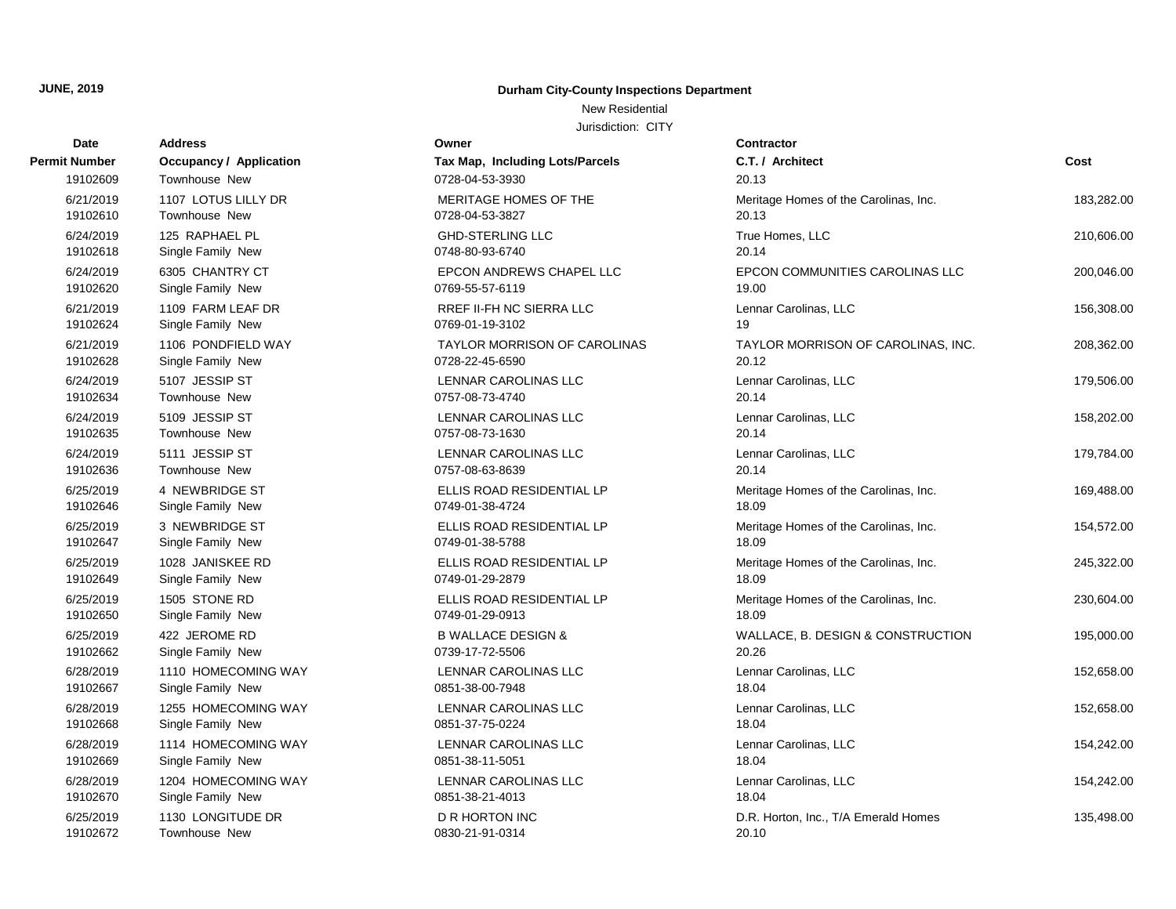New Residential

| Date          | <b>Address</b>                 | Owner                               | Contractor       |
|---------------|--------------------------------|-------------------------------------|------------------|
| Permit Number | <b>Occupancy / Application</b> | Tax Map, Including Lots/Parcels     | C.T. / Arch      |
| 19102609      | Townhouse New                  | 0728-04-53-3930                     | 20.13            |
| 6/21/2019     | 1107 LOTUS LILLY DR            | MERITAGE HOMES OF THE               | Meritage Ho      |
| 19102610      | Townhouse New                  | 0728-04-53-3827                     | 20.13            |
| 6/24/2019     | 125 RAPHAEL PL                 | <b>GHD-STERLING LLC</b>             | <b>True Home</b> |
| 19102618      | Single Family New              | 0748-80-93-6740                     | 20.14            |
| 6/24/2019     | 6305 CHANTRY CT                | EPCON ANDREWS CHAPEL LLC            | <b>EPCON CO</b>  |
| 19102620      | Single Family New              | 0769-55-57-6119                     | 19.00            |
| 6/21/2019     | 1109 FARM LEAF DR              | RREF II-FH NC SIERRA LLC            | Lennar Car       |
| 19102624      | Single Family New              | 0769-01-19-3102                     | 19               |
| 6/21/2019     | 1106 PONDFIELD WAY             | <b>TAYLOR MORRISON OF CAROLINAS</b> | <b>TAYLOR M</b>  |
| 19102628      | Single Family New              | 0728-22-45-6590                     | 20.12            |
| 6/24/2019     | 5107 JESSIP ST                 | LENNAR CAROLINAS LLC                | Lennar Car       |
| 19102634      | Townhouse New                  | 0757-08-73-4740                     | 20.14            |
| 6/24/2019     | 5109 JESSIP ST                 | LENNAR CAROLINAS LLC                | Lennar Car       |
| 19102635      | Townhouse New                  | 0757-08-73-1630                     | 20.14            |
| 6/24/2019     | 5111 JESSIP ST                 | LENNAR CAROLINAS LLC                | Lennar Car       |
| 19102636      | Townhouse New                  | 0757-08-63-8639                     | 20.14            |
| 6/25/2019     | 4 NEWBRIDGE ST                 | ELLIS ROAD RESIDENTIAL LP           | Meritage H       |
| 19102646      | Single Family New              | 0749-01-38-4724                     | 18.09            |
| 6/25/2019     | 3 NEWBRIDGE ST                 | ELLIS ROAD RESIDENTIAL LP           | Meritage Ho      |
| 19102647      | Single Family New              | 0749-01-38-5788                     | 18.09            |
| 6/25/2019     | 1028 JANISKEE RD               | ELLIS ROAD RESIDENTIAL LP           | Meritage H       |
| 19102649      | Single Family New              | 0749-01-29-2879                     | 18.09            |
| 6/25/2019     | 1505 STONE RD                  | ELLIS ROAD RESIDENTIAL LP           | Meritage He      |
| 19102650      | Single Family New              | 0749-01-29-0913                     | 18.09            |
| 6/25/2019     | 422 JEROME RD                  | <b>B WALLACE DESIGN &amp;</b>       | WALLACE,         |
| 19102662      | Single Family New              | 0739-17-72-5506                     | 20.26            |
| 6/28/2019     | 1110 HOMECOMING WAY            | LENNAR CAROLINAS LLC                | Lennar Car       |
| 19102667      | Single Family New              | 0851-38-00-7948                     | 18.04            |
| 6/28/2019     | 1255 HOMECOMING WAY            | LENNAR CAROLINAS LLC                | Lennar Car       |
| 19102668      | Single Family New              | 0851-37-75-0224                     | 18.04            |
| 6/28/2019     | 1114 HOMECOMING WAY            | LENNAR CAROLINAS LLC                | Lennar Car       |
| 19102669      | Single Family New              | 0851-38-11-5051                     | 18.04            |
| 6/28/2019     | 1204 HOMECOMING WAY            | LENNAR CAROLINAS LLC                | Lennar Car       |
| 19102670      | Single Family New              | 0851-38-21-4013                     | 18.04            |
| 6/25/2019     | 1130 LONGITUDE DR              | <b>D R HORTON INC</b>               | D.R. Hortor      |
| 19102672      | Townhouse New                  | 0830-21-91-0314                     | 20.10            |

| Owner                               | Contr       |
|-------------------------------------|-------------|
| Tax Map, Including Lots/Parcels     | C.T. I      |
| 0728-04-53-3930                     | 20.13       |
| <b>MERITAGE HOMES OF THE</b>        | Merita      |
| 0728-04-53-3827                     | 20.13       |
| <b>GHD-STERLING LLC</b>             | True H      |
| 0748-80-93-6740                     | 20.14       |
| <b>EPCON ANDREWS CHAPEL LLC</b>     | EPCO        |
| 0769-55-57-6119                     | 19.00       |
| RREF II-FH NC SIERRA LLC            | Lenna       |
| 0769-01-19-3102                     | 19          |
| <b>TAYLOR MORRISON OF CAROLINAS</b> | <b>TAYL</b> |
| 0728-22-45-6590                     | 20.12       |
| <b>LENNAR CAROLINAS LLC</b>         | Lenna       |
| 0757-08-73-4740                     | 20.14       |
| <b>LENNAR CAROLINAS LLC</b>         | Lenna       |
| 0757-08-73-1630                     | 20.14       |
| <b>LENNAR CAROLINAS LLC</b>         | Lenna       |
| 0757-08-63-8639                     | 20.14       |
| ELLIS ROAD RESIDENTIAL LP           | Merita      |
| 0749-01-38-4724                     | 18.09       |
| ELLIS ROAD RESIDENTIAL LP           | Merita      |
| 0749-01-38-5788                     | 18.09       |
| ELLIS ROAD RESIDENTIAL LP           | Merita      |
| 0749-01-29-2879                     | 18.09       |
| ELLIS ROAD RESIDENTIAL LP           | Merita      |
| 0749-01-29-0913                     | 18.09       |
| <b>B WALLACE DESIGN &amp;</b>       | WALL        |
| 0739-17-72-5506                     | 20.26       |
| <b>LENNAR CAROLINAS LLC</b>         | Lenna       |
| 0851-38-00-7948                     | 18.04       |
| <b>LENNAR CAROLINAS LLC</b>         | Lenna       |
| 0851-37-75-0224                     | 18.04       |
| <b>LENNAR CAROLINAS LLC</b>         | Lenna       |
| 0851-38-11-5051                     | 18.04       |
| <b>LENNAR CAROLINAS LLC</b>         | Lenna       |
| 0851-38-21-4013                     | 18.04       |
| D R HORTON INC                      | D.R. H      |
| 0830-21-91-0314                     | 20.10       |

| Number                | <b>Occupancy / Application</b>     | Tax Map, Including Lots/Parcels     | C.T. / Architect                      | Cost       |
|-----------------------|------------------------------------|-------------------------------------|---------------------------------------|------------|
| 19102609              | Townhouse New                      | 0728-04-53-3930                     | 20.13                                 |            |
| 6/21/2019             | 1107 LOTUS LILLY DR                | MERITAGE HOMES OF THE               | Meritage Homes of the Carolinas, Inc. | 183,282.00 |
| 19102610              | Townhouse New                      | 0728-04-53-3827                     | 20.13                                 |            |
| 6/24/2019             | 125 RAPHAEL PL                     | <b>GHD-STERLING LLC</b>             | True Homes, LLC                       | 210,606.00 |
| 19102618              | Single Family New                  | 0748-80-93-6740                     | 20.14                                 |            |
| 6/24/2019             | 6305 CHANTRY CT                    | EPCON ANDREWS CHAPEL LLC            | EPCON COMMUNITIES CAROLINAS LLC       | 200,046.00 |
| 19102620              | Single Family New                  | 0769-55-57-6119                     | 19.00                                 |            |
| 6/21/2019             | 1109 FARM LEAF DR                  | RREF II-FH NC SIERRA LLC            | Lennar Carolinas, LLC                 | 156,308.00 |
| 19102624              | Single Family New                  | 0769-01-19-3102                     | 19                                    |            |
| 6/21/2019             | 1106 PONDFIELD WAY                 | <b>TAYLOR MORRISON OF CAROLINAS</b> | TAYLOR MORRISON OF CAROLINAS, INC.    | 208,362.00 |
| 19102628              | Single Family New                  | 0728-22-45-6590                     | 20.12                                 |            |
| 6/24/2019             | 5107 JESSIP ST                     | LENNAR CAROLINAS LLC                | Lennar Carolinas, LLC                 | 179,506.00 |
| 19102634              | Townhouse New                      | 0757-08-73-4740                     | 20.14                                 |            |
| 6/24/2019             | 5109 JESSIP ST                     | LENNAR CAROLINAS LLC                | Lennar Carolinas, LLC                 | 158,202.00 |
| 19102635              | Townhouse New                      | 0757-08-73-1630                     | 20.14                                 |            |
| 6/24/2019             | 5111 JESSIP ST                     | LENNAR CAROLINAS LLC                | Lennar Carolinas, LLC                 | 179,784.00 |
| 19102636              | Townhouse New                      | 0757-08-63-8639                     | 20.14                                 |            |
| 6/25/2019             | 4 NEWBRIDGE ST                     | ELLIS ROAD RESIDENTIAL LP           | Meritage Homes of the Carolinas, Inc. | 169,488.00 |
| 19102646              | Single Family New                  | 0749-01-38-4724                     | 18.09                                 |            |
| 6/25/2019             | 3 NEWBRIDGE ST                     | ELLIS ROAD RESIDENTIAL LP           | Meritage Homes of the Carolinas, Inc. | 154,572.00 |
| 19102647              | Single Family New                  | 0749-01-38-5788                     | 18.09                                 |            |
| 6/25/2019             | 1028 JANISKEE RD                   | ELLIS ROAD RESIDENTIAL LP           | Meritage Homes of the Carolinas, Inc. | 245,322.00 |
| 19102649              | Single Family New                  | 0749-01-29-2879                     | 18.09                                 |            |
| 6/25/2019             | 1505 STONE RD                      | ELLIS ROAD RESIDENTIAL LP           | Meritage Homes of the Carolinas, Inc. | 230,604.00 |
| 19102650              | Single Family New                  | 0749-01-29-0913                     | 18.09                                 |            |
| 6/25/2019             | 422 JEROME RD                      | <b>B WALLACE DESIGN &amp;</b>       | WALLACE, B. DESIGN & CONSTRUCTION     | 195,000.00 |
| 19102662              | Single Family New                  | 0739-17-72-5506                     | 20.26                                 |            |
| 6/28/2019             | 1110 HOMECOMING WAY                | LENNAR CAROLINAS LLC                | Lennar Carolinas, LLC                 | 152,658.00 |
| 19102667              | Single Family New                  | 0851-38-00-7948                     | 18.04                                 |            |
| 6/28/2019             | 1255 HOMECOMING WAY                | LENNAR CAROLINAS LLC                | Lennar Carolinas, LLC                 | 152,658.00 |
| 19102668              | Single Family New                  | 0851-37-75-0224                     | 18.04                                 |            |
| 6/28/2019             | 1114 HOMECOMING WAY                | LENNAR CAROLINAS LLC                | Lennar Carolinas, LLC                 | 154,242.00 |
| 19102669              | Single Family New                  | 0851-38-11-5051                     | 18.04                                 |            |
| 6/28/2019             | 1204 HOMECOMING WAY                | LENNAR CAROLINAS LLC                | Lennar Carolinas, LLC                 | 154,242.00 |
| 19102670              | Single Family New                  | 0851-38-21-4013                     | 18.04                                 |            |
| 6/25/2019<br>10102672 | 1130 LONGITUDE DR<br>Townhouse Now | D R HORTON INC<br>0220 21 01 0214   | D.R. Horton, Inc., T/A Emerald Homes  | 135,498.00 |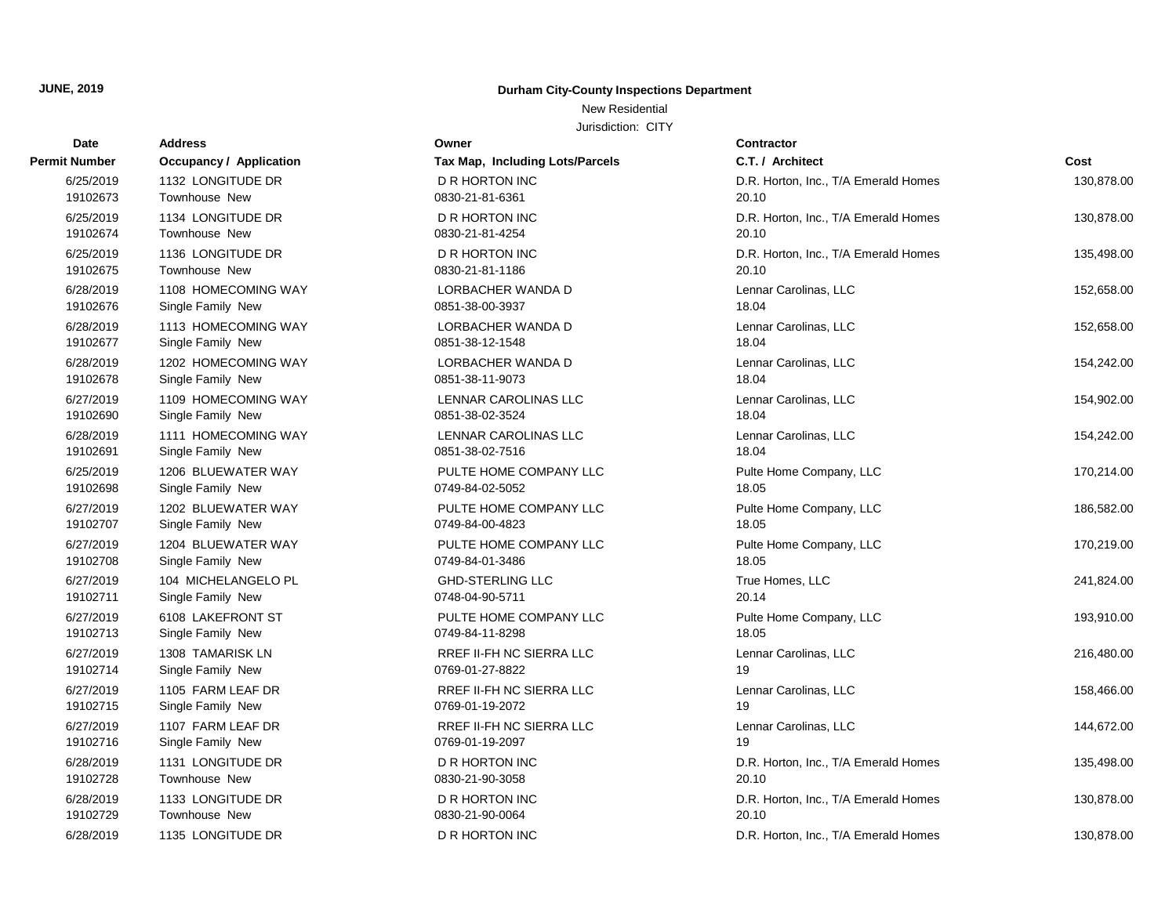New Residential

Jurisdiction: CITY

| Date      | <b>Address</b>                 | Owner                           | <b>Contractor</b>                    |            |
|-----------|--------------------------------|---------------------------------|--------------------------------------|------------|
| t Number  | <b>Occupancy / Application</b> | Tax Map, Including Lots/Parcels | C.T. / Architect                     | Cost       |
| 6/25/2019 | 1132 LONGITUDE DR              | <b>D R HORTON INC</b>           | D.R. Horton, Inc., T/A Emerald Homes | 130,878.00 |
| 19102673  | Townhouse New                  | 0830-21-81-6361                 | 20.10                                |            |
| 6/25/2019 | 1134 LONGITUDE DR              | <b>D R HORTON INC</b>           | D.R. Horton, Inc., T/A Emerald Homes | 130,878.00 |
| 19102674  | Townhouse New                  | 0830-21-81-4254                 | 20.10                                |            |
| 6/25/2019 | 1136 LONGITUDE DR              | D R HORTON INC                  | D.R. Horton, Inc., T/A Emerald Homes | 135,498.00 |
| 19102675  | Townhouse New                  | 0830-21-81-1186                 | 20.10                                |            |
| 6/28/2019 | 1108 HOMECOMING WAY            | LORBACHER WANDA D               | Lennar Carolinas, LLC                | 152,658.00 |
| 19102676  | Single Family New              | 0851-38-00-3937                 | 18.04                                |            |
| 6/28/2019 | 1113 HOMECOMING WAY            | LORBACHER WANDA D               | Lennar Carolinas, LLC                | 152,658.00 |
| 19102677  | Single Family New              | 0851-38-12-1548                 | 18.04                                |            |
| 6/28/2019 | 1202 HOMECOMING WAY            | LORBACHER WANDA D               | Lennar Carolinas, LLC                | 154,242.00 |
| 19102678  | Single Family New              | 0851-38-11-9073                 | 18.04                                |            |
| 6/27/2019 | 1109 HOMECOMING WAY            | LENNAR CAROLINAS LLC            | Lennar Carolinas, LLC                | 154,902.00 |
| 19102690  | Single Family New              | 0851-38-02-3524                 | 18.04                                |            |
| 6/28/2019 | 1111 HOMECOMING WAY            | LENNAR CAROLINAS LLC            | Lennar Carolinas, LLC                | 154,242.00 |
| 19102691  | Single Family New              | 0851-38-02-7516                 | 18.04                                |            |
| 6/25/2019 | 1206 BLUEWATER WAY             | PULTE HOME COMPANY LLC          | Pulte Home Company, LLC              | 170,214.00 |
| 19102698  | Single Family New              | 0749-84-02-5052                 | 18.05                                |            |
| 6/27/2019 | 1202 BLUEWATER WAY             | PULTE HOME COMPANY LLC          | Pulte Home Company, LLC              | 186,582.00 |
| 19102707  | Single Family New              | 0749-84-00-4823                 | 18.05                                |            |
| 6/27/2019 | 1204 BLUEWATER WAY             | PULTE HOME COMPANY LLC          | Pulte Home Company, LLC              | 170,219.00 |
| 19102708  | Single Family New              | 0749-84-01-3486                 | 18.05                                |            |
| 6/27/2019 | 104 MICHELANGELO PL            | <b>GHD-STERLING LLC</b>         | True Homes, LLC                      | 241,824.00 |
| 19102711  | Single Family New              | 0748-04-90-5711                 | 20.14                                |            |
| 6/27/2019 | 6108 LAKEFRONT ST              | PULTE HOME COMPANY LLC          | Pulte Home Company, LLC              | 193,910.00 |
| 19102713  | Single Family New              | 0749-84-11-8298                 | 18.05                                |            |
| 6/27/2019 | 1308 TAMARISK LN               | RREF II-FH NC SIERRA LLC        | Lennar Carolinas, LLC                | 216,480.00 |
| 19102714  | Single Family New              | 0769-01-27-8822                 | 19                                   |            |
| 6/27/2019 | 1105 FARM LEAF DR              | <b>RREF II-FH NC SIERRA LLC</b> | Lennar Carolinas, LLC                | 158,466.00 |
| 19102715  | Single Family New              | 0769-01-19-2072                 | 19                                   |            |
| 6/27/2019 | 1107 FARM LEAF DR              | RREF II-FH NC SIERRA LLC        | Lennar Carolinas, LLC                | 144,672.00 |
| 19102716  | Single Family New              | 0769-01-19-2097                 | 19                                   |            |
| 6/28/2019 | 1131 LONGITUDE DR              | D R HORTON INC                  | D.R. Horton, Inc., T/A Emerald Homes | 135,498.00 |
| 19102728  | <b>Townhouse New</b>           | 0830-21-90-3058                 | 20.10                                |            |
| 6/28/2019 | 1133 LONGITUDE DR              | <b>D R HORTON INC</b>           | D.R. Horton, Inc., T/A Emerald Homes | 130,878.00 |
| 19102729  | Townhouse New                  | 0830-21-90-0064                 | 20.10                                |            |
| 6/28/2019 | 1135 LONGITUDE DR              | <b>D R HORTON INC</b>           | D.R. Horton, Inc., T/A Emerald Homes | 130,878.00 |
|           |                                |                                 |                                      |            |

# **Permit Number •• COCCUPANCY / Application •• Tax Map** 19102675 Townhouse New 0830-21-81-1186 20.10 19102674 Townhouse New 200830-21-19102677 Single Family New 0851-38-19102676 Single Family New 0851-38-19102690 Single Family New 0851-38-19102678 Single Family New 0851-38-19102698 Single Family New 0749-84-19102691 Single Family New 0851-38-19102708 Single Family New 0749-84-19102707 Single Family New 0749-84-19102713 Single Family New 0749-84-19102711 Single Family New 0748-04-19102715 Single Family New 0769-01-19102714 Single Family New 0769-01-19102728 Townhouse New 2010 2021-00-3058 21-19102716 Single Family New 0769-01-19102729 Townhouse New 200830-21-